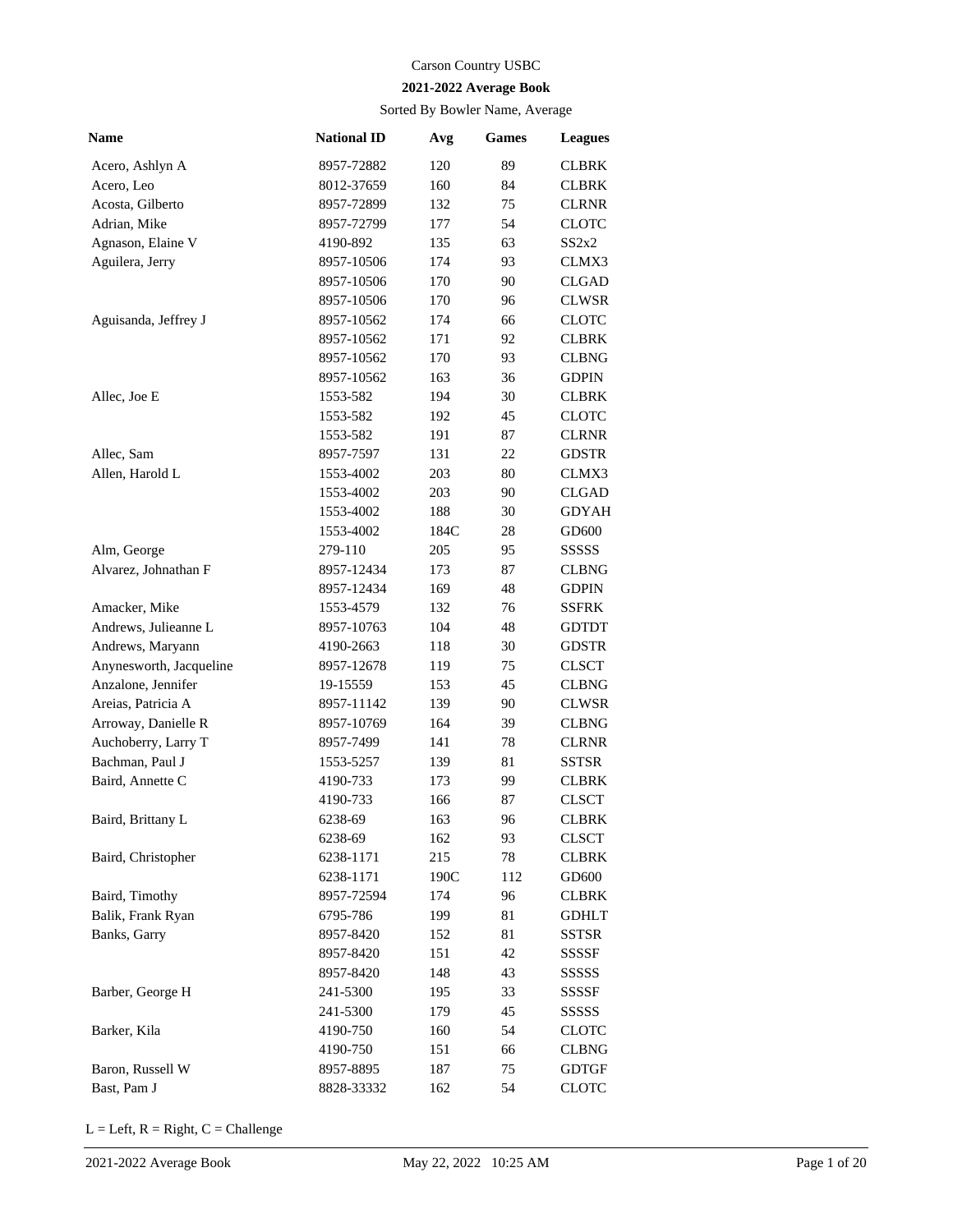## Carson Country USBC

## **2021-2022 Average Book**

Sorted By Bowler Name, Average

| <b>Name</b>             | <b>National ID</b> | Avg  | <b>Games</b> | <b>Leagues</b> |
|-------------------------|--------------------|------|--------------|----------------|
| Acero, Ashlyn A         | 8957-72882         | 120  | 89           | CLBRK          |
| Acero, Leo              | 8012-37659         | 160  | 84           | <b>CLBRK</b>   |
| Acosta, Gilberto        | 8957-72899         | 132  | 75           | <b>CLRNR</b>   |
| Adrian, Mike            | 8957-72799         | 177  | 54           | CLOTC          |
| Agnason, Elaine V       | 4190-892           | 135  | 63           | SS2x2          |
| Aguilera, Jerry         | 8957-10506         | 174  | 93           | CLMX3          |
|                         | 8957-10506         | 170  | 90           | <b>CLGAD</b>   |
|                         | 8957-10506         | 170  | 96           | <b>CLWSR</b>   |
| Aguisanda, Jeffrey J    | 8957-10562         | 174  | 66           | <b>CLOTC</b>   |
|                         | 8957-10562         | 171  | 92           | <b>CLBRK</b>   |
|                         | 8957-10562         | 170  | 93           | <b>CLBNG</b>   |
|                         | 8957-10562         | 163  | 36           | <b>GDPIN</b>   |
| Allec, Joe E            | 1553-582           | 194  | 30           | <b>CLBRK</b>   |
|                         | 1553-582           | 192  | 45           | CLOTC          |
|                         | 1553-582           | 191  | 87           | <b>CLRNR</b>   |
| Allec, Sam              | 8957-7597          | 131  | 22           | <b>GDSTR</b>   |
| Allen, Harold L         | 1553-4002          | 203  | 80           | CLMX3          |
|                         | 1553-4002          | 203  | 90           | <b>CLGAD</b>   |
|                         | 1553-4002          | 188  | 30           | <b>GDYAH</b>   |
|                         | 1553-4002          | 184C | 28           | GD600          |
| Alm, George             | 279-110            | 205  | 95           | SSSSS          |
| Alvarez, Johnathan F    | 8957-12434         | 173  | 87           | <b>CLBNG</b>   |
|                         | 8957-12434         | 169  | 48           | <b>GDPIN</b>   |
| Amacker, Mike           | 1553-4579          | 132  | 76           | SSFRK          |
| Andrews, Julieanne L    | 8957-10763         | 104  | 48           | <b>GDTDT</b>   |
| Andrews, Maryann        | 4190-2663          | 118  | 30           | <b>GDSTR</b>   |
| Anynesworth, Jacqueline | 8957-12678         | 119  | 75           | <b>CLSCT</b>   |
| Anzalone, Jennifer      | 19-15559           | 153  | 45           | <b>CLBNG</b>   |
| Areias, Patricia A      | 8957-11142         | 139  | 90           | <b>CLWSR</b>   |
| Arroway, Danielle R     | 8957-10769         | 164  | 39           | <b>CLBNG</b>   |
| Auchoberry, Larry T     | 8957-7499          | 141  | 78           | <b>CLRNR</b>   |
| Bachman, Paul J         | 1553-5257          | 139  | 81           | SSTSR          |
| Baird, Annette C        | 4190-733           | 173  | 99           | <b>CLBRK</b>   |
|                         | 4190-733           | 166  | 87           | <b>CLSCT</b>   |
| Baird, Brittany L       | 6238-69            | 163  | 96           | CLBRK          |
|                         | 6238-69            | 162  | 93           | <b>CLSCT</b>   |
| Baird, Christopher      | 6238-1171          | 215  | 78           | CLBRK          |
|                         | 6238-1171          | 190C | 112          | GD600          |
| Baird, Timothy          | 8957-72594         | 174  | 96           | CLBRK          |
| Balik, Frank Ryan       | 6795-786           | 199  | 81           | <b>GDHLT</b>   |
| Banks, Garry            | 8957-8420          | 152  | 81           | SSTSR          |
|                         | 8957-8420          | 151  | 42           | SSSSF          |
|                         | 8957-8420          | 148  | 43           |                |
| Barber, George H        |                    |      |              | SSSSS          |
|                         | 241-5300           | 195  | 33           | SSSSF          |
|                         | 241-5300           | 179  | 45           | SSSSS          |
| Barker, Kila            | 4190-750           | 160  | 54           | CLOTC          |
|                         | 4190-750           | 151  | 66           | CLBNG          |
| Baron, Russell W        | 8957-8895          | 187  | 75           | GDTGF          |
| Bast, Pam J             | 8828-33332         | 162  | 54           | CLOTC          |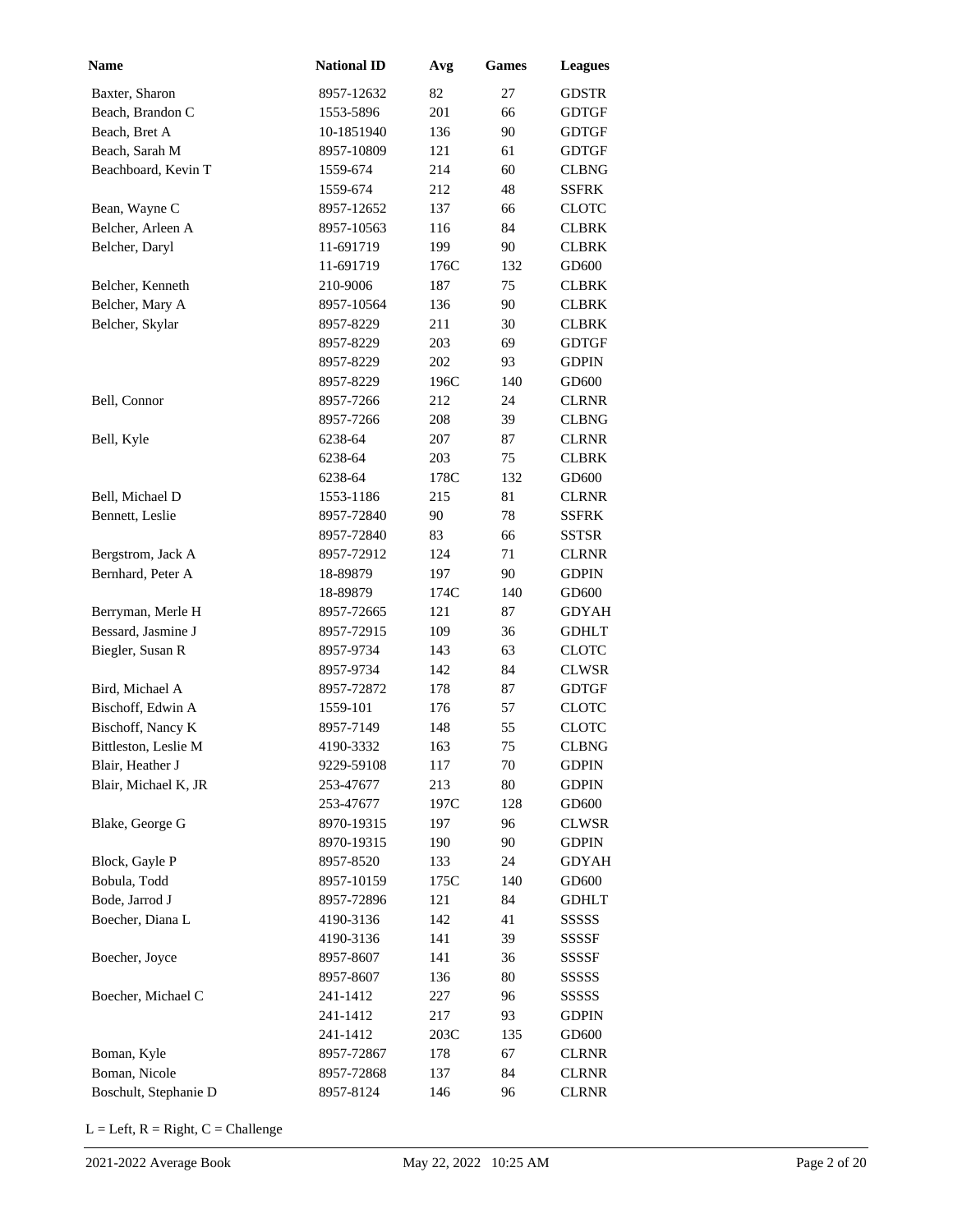| <b>Name</b>           | <b>National ID</b> | Avg  | <b>Games</b> | <b>Leagues</b> |
|-----------------------|--------------------|------|--------------|----------------|
| Baxter, Sharon        | 8957-12632         | 82   | 27           | <b>GDSTR</b>   |
| Beach, Brandon C      | 1553-5896          | 201  | 66           | <b>GDTGF</b>   |
| Beach, Bret A         | 10-1851940         | 136  | 90           | <b>GDTGF</b>   |
| Beach, Sarah M        | 8957-10809         | 121  | 61           | <b>GDTGF</b>   |
| Beachboard, Kevin T   | 1559-674           | 214  | 60           | <b>CLBNG</b>   |
|                       | 1559-674           | 212  | 48           | SSFRK          |
| Bean, Wayne C         | 8957-12652         | 137  | 66           | <b>CLOTC</b>   |
| Belcher, Arleen A     | 8957-10563         | 116  | 84           | <b>CLBRK</b>   |
| Belcher, Daryl        | 11-691719          | 199  | 90           | <b>CLBRK</b>   |
|                       | 11-691719          | 176C | 132          | GD600          |
| Belcher, Kenneth      | 210-9006           | 187  | 75           | <b>CLBRK</b>   |
| Belcher, Mary A       | 8957-10564         | 136  | 90           | <b>CLBRK</b>   |
| Belcher, Skylar       | 8957-8229          | 211  | 30           | <b>CLBRK</b>   |
|                       | 8957-8229          | 203  | 69           | <b>GDTGF</b>   |
|                       | 8957-8229          | 202  | 93           | <b>GDPIN</b>   |
|                       | 8957-8229          | 196C | 140          | GD600          |
| Bell, Connor          | 8957-7266          | 212  | 24           | <b>CLRNR</b>   |
|                       | 8957-7266          | 208  | 39           | <b>CLBNG</b>   |
| Bell, Kyle            | 6238-64            | 207  | 87           | <b>CLRNR</b>   |
|                       | 6238-64            | 203  | 75           | <b>CLBRK</b>   |
|                       | 6238-64            | 178C | 132          | GD600          |
| Bell, Michael D       | 1553-1186          | 215  | 81           | <b>CLRNR</b>   |
| Bennett, Leslie       | 8957-72840         | 90   | 78           | SSFRK          |
|                       | 8957-72840         | 83   | 66           | SSTSR          |
| Bergstrom, Jack A     | 8957-72912         | 124  | 71           | <b>CLRNR</b>   |
| Bernhard, Peter A     | 18-89879           | 197  | 90           | <b>GDPIN</b>   |
|                       | 18-89879           | 174C | 140          | GD600          |
| Berryman, Merle H     | 8957-72665         | 121  | 87           | <b>GDYAH</b>   |
| Bessard, Jasmine J    | 8957-72915         | 109  | 36           | <b>GDHLT</b>   |
| Biegler, Susan R      | 8957-9734          | 143  | 63           | <b>CLOTC</b>   |
|                       | 8957-9734          | 142  | 84           | <b>CLWSR</b>   |
| Bird, Michael A       | 8957-72872         | 178  | 87           | <b>GDTGF</b>   |
| Bischoff, Edwin A     | 1559-101           | 176  | 57           | <b>CLOTC</b>   |
| Bischoff, Nancy K     | 8957-7149          | 148  | 55           | <b>CLOTC</b>   |
| Bittleston, Leslie M  | 4190-3332          | 163  | 75           | CLBNG          |
| Blair, Heather J      | 9229-59108         | 117  | 70           | <b>GDPIN</b>   |
| Blair, Michael K, JR  | 253-47677          | 213  | 80           | <b>GDPIN</b>   |
|                       | 253-47677          | 197C | 128          | GD600          |
| Blake, George G       | 8970-19315         | 197  | 96           | <b>CLWSR</b>   |
|                       | 8970-19315         | 190  | 90           | <b>GDPIN</b>   |
| Block, Gayle P        | 8957-8520          | 133  | 24           | <b>GDYAH</b>   |
| Bobula, Todd          | 8957-10159         | 175C | 140          | GD600          |
| Bode, Jarrod J        | 8957-72896         | 121  | 84           | <b>GDHLT</b>   |
| Boecher, Diana L      | 4190-3136          | 142  | 41           | SSSSS          |
|                       | 4190-3136          | 141  | 39           | SSSSF          |
| Boecher, Joyce        | 8957-8607          | 141  | 36           | SSSSF          |
|                       | 8957-8607          | 136  | 80           | SSSSS          |
| Boecher, Michael C    | 241-1412           | 227  | 96           | SSSSS          |
|                       | 241-1412           | 217  | 93           | <b>GDPIN</b>   |
|                       | 241-1412           | 203C | 135          | GD600          |
| Boman, Kyle           | 8957-72867         | 178  | 67           | <b>CLRNR</b>   |
| Boman, Nicole         | 8957-72868         | 137  | 84           | <b>CLRNR</b>   |
| Boschult, Stephanie D | 8957-8124          | 146  | 96           | <b>CLRNR</b>   |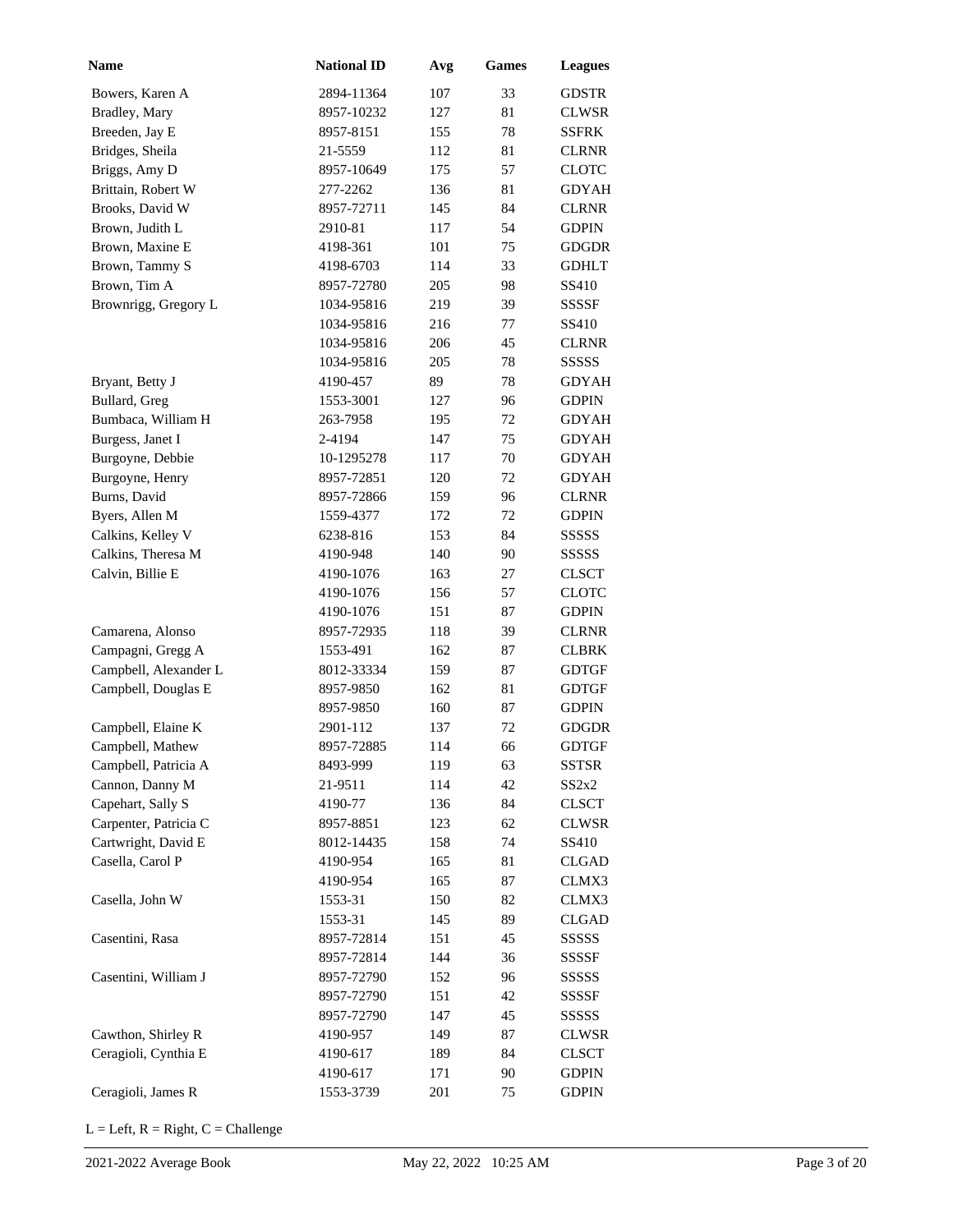| Name                  | <b>National ID</b> | Avg | <b>Games</b> | <b>Leagues</b> |
|-----------------------|--------------------|-----|--------------|----------------|
| Bowers, Karen A       | 2894-11364         | 107 | 33           | GDSTR          |
| Bradley, Mary         | 8957-10232         | 127 | 81           | <b>CLWSR</b>   |
| Breeden, Jay E        | 8957-8151          | 155 | 78           | <b>SSFRK</b>   |
| Bridges, Sheila       | 21-5559            | 112 | 81           | <b>CLRNR</b>   |
| Briggs, Amy D         | 8957-10649         | 175 | 57           | <b>CLOTC</b>   |
| Brittain, Robert W    | 277-2262           | 136 | 81           | <b>GDYAH</b>   |
| Brooks, David W       | 8957-72711         | 145 | 84           | <b>CLRNR</b>   |
| Brown, Judith L       | 2910-81            | 117 | 54           | <b>GDPIN</b>   |
| Brown, Maxine E       | 4198-361           | 101 | 75           | <b>GDGDR</b>   |
| Brown, Tammy S        | 4198-6703          | 114 | 33           | <b>GDHLT</b>   |
| Brown, Tim A          | 8957-72780         | 205 | 98           | SS410          |
| Brownrigg, Gregory L  | 1034-95816         | 219 | 39           | <b>SSSSF</b>   |
|                       | 1034-95816         | 216 | 77           | SS410          |
|                       | 1034-95816         | 206 | 45           | <b>CLRNR</b>   |
|                       | 1034-95816         | 205 | 78           | <b>SSSSS</b>   |
| Bryant, Betty J       | 4190-457           | 89  | 78           | <b>GDYAH</b>   |
| Bullard, Greg         | 1553-3001          | 127 | 96           | <b>GDPIN</b>   |
| Bumbaca, William H    | 263-7958           | 195 | 72           | <b>GDYAH</b>   |
| Burgess, Janet I      | 2-4194             | 147 | 75           | <b>GDYAH</b>   |
| Burgoyne, Debbie      | 10-1295278         | 117 | 70           | <b>GDYAH</b>   |
| Burgoyne, Henry       | 8957-72851         | 120 | 72           | <b>GDYAH</b>   |
| Burns, David          | 8957-72866         | 159 | 96           | <b>CLRNR</b>   |
| Byers, Allen M        | 1559-4377          | 172 | 72           | <b>GDPIN</b>   |
| Calkins, Kelley V     | 6238-816           | 153 | 84           | <b>SSSSS</b>   |
| Calkins, Theresa M    | 4190-948           | 140 | 90           | <b>SSSSS</b>   |
| Calvin, Billie E      | 4190-1076          | 163 | 27           | <b>CLSCT</b>   |
|                       | 4190-1076          | 156 | 57           | <b>CLOTC</b>   |
|                       | 4190-1076          | 151 | 87           | <b>GDPIN</b>   |
| Camarena, Alonso      | 8957-72935         | 118 | 39           | <b>CLRNR</b>   |
| Campagni, Gregg A     | 1553-491           | 162 | 87           | CLBRK          |
| Campbell, Alexander L | 8012-33334         | 159 | 87           | <b>GDTGF</b>   |
| Campbell, Douglas E   | 8957-9850          | 162 | 81           | <b>GDTGF</b>   |
|                       | 8957-9850          | 160 | 87           | <b>GDPIN</b>   |
| Campbell, Elaine K    | 2901-112           | 137 | 72           | GDGDR          |
| Campbell, Mathew      | 8957-72885         | 114 | 66           | <b>GDTGF</b>   |
| Campbell, Patricia A  | 8493-999           | 119 | 63           | <b>SSTSR</b>   |
| Cannon, Danny M       | 21-9511            | 114 | 42           | SS2x2          |
| Capehart, Sally S     | 4190-77            | 136 | 84           | <b>CLSCT</b>   |
| Carpenter, Patricia C | 8957-8851          | 123 | 62           | <b>CLWSR</b>   |
| Cartwright, David E   | 8012-14435         | 158 | 74           | SS410          |
| Casella, Carol P      | 4190-954           | 165 | 81           | <b>CLGAD</b>   |
|                       | 4190-954           | 165 | 87           | CLMX3          |
| Casella, John W       | 1553-31            | 150 | 82           | CLMX3          |
|                       | 1553-31            | 145 | 89           | <b>CLGAD</b>   |
| Casentini, Rasa       | 8957-72814         | 151 | 45           | SSSSS          |
|                       | 8957-72814         | 144 | 36           | <b>SSSSF</b>   |
| Casentini, William J  | 8957-72790         | 152 | 96           | SSSSS          |
|                       | 8957-72790         | 151 | 42           | SSSSF          |
|                       | 8957-72790         | 147 | 45           | SSSSS          |
| Cawthon, Shirley R    | 4190-957           | 149 | 87           | <b>CLWSR</b>   |
| Ceragioli, Cynthia E  | 4190-617           | 189 | 84           | CLSCT          |
|                       | 4190-617           | 171 | 90           | <b>GDPIN</b>   |
| Ceragioli, James R    | 1553-3739          | 201 | 75           | <b>GDPIN</b>   |
|                       |                    |     |              |                |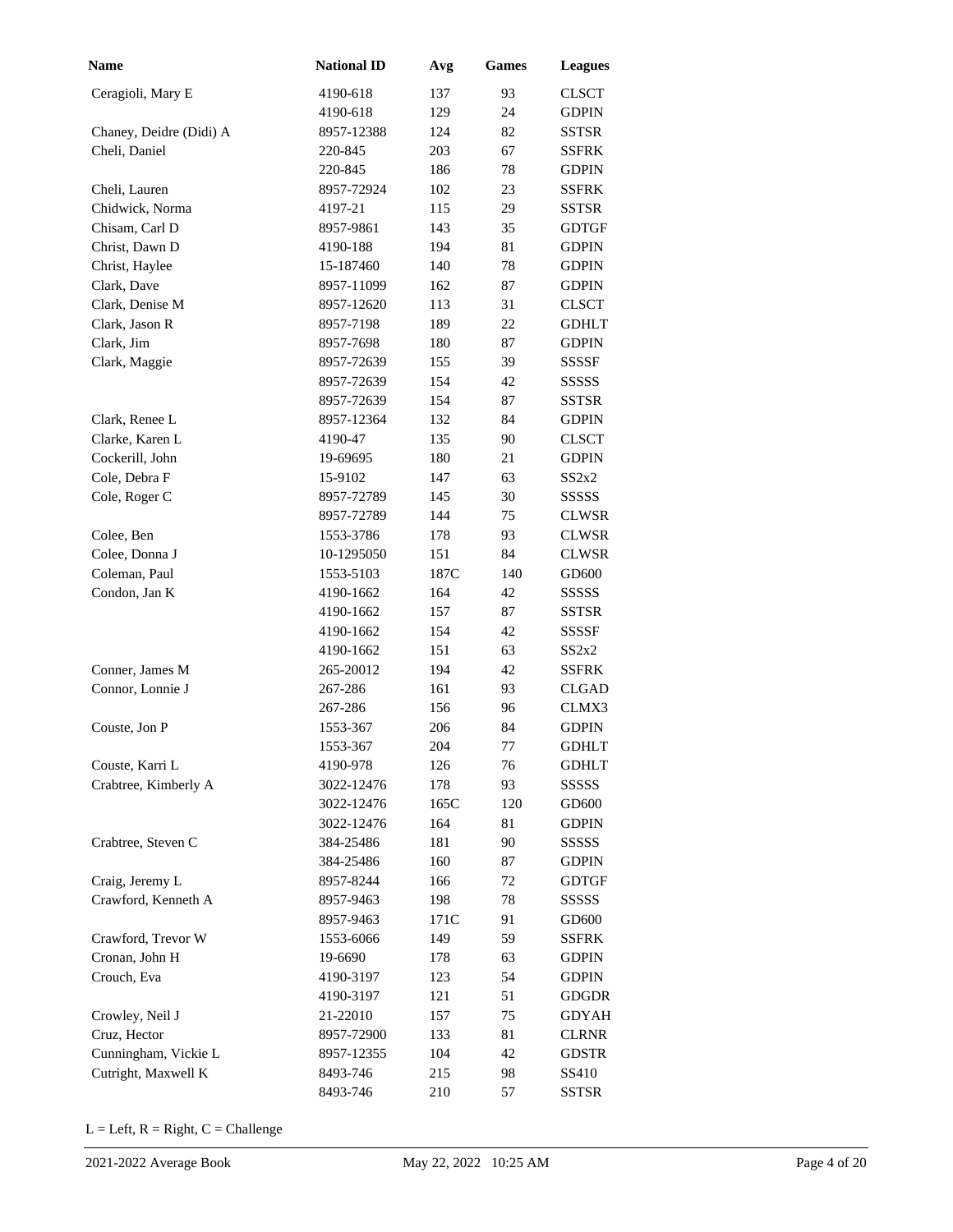| <b>Name</b>             | <b>National ID</b> | Avg  | <b>Games</b> | <b>Leagues</b> |
|-------------------------|--------------------|------|--------------|----------------|
| Ceragioli, Mary E       | 4190-618           | 137  | 93           | <b>CLSCT</b>   |
|                         | 4190-618           | 129  | 24           | <b>GDPIN</b>   |
| Chaney, Deidre (Didi) A | 8957-12388         | 124  | 82           | SSTSR          |
| Cheli, Daniel           | 220-845            | 203  | 67           | <b>SSFRK</b>   |
|                         | 220-845            | 186  | 78           | <b>GDPIN</b>   |
| Cheli, Lauren           | 8957-72924         | 102  | 23           | <b>SSFRK</b>   |
| Chidwick, Norma         | 4197-21            | 115  | 29           | <b>SSTSR</b>   |
| Chisam, Carl D          | 8957-9861          | 143  | 35           | <b>GDTGF</b>   |
| Christ, Dawn D          | 4190-188           | 194  | 81           | <b>GDPIN</b>   |
| Christ, Haylee          | 15-187460          | 140  | 78           | <b>GDPIN</b>   |
| Clark, Dave             | 8957-11099         | 162  | 87           | <b>GDPIN</b>   |
| Clark, Denise M         | 8957-12620         | 113  | 31           | <b>CLSCT</b>   |
| Clark, Jason R          | 8957-7198          | 189  | 22           | <b>GDHLT</b>   |
| Clark, Jim              | 8957-7698          | 180  | 87           | <b>GDPIN</b>   |
| Clark, Maggie           | 8957-72639         | 155  | 39           | <b>SSSSF</b>   |
|                         | 8957-72639         | 154  | 42           | <b>SSSSS</b>   |
|                         | 8957-72639         | 154  | 87           | <b>SSTSR</b>   |
| Clark, Renee L          | 8957-12364         | 132  | 84           | <b>GDPIN</b>   |
| Clarke, Karen L         | 4190-47            | 135  | 90           | <b>CLSCT</b>   |
| Cockerill, John         | 19-69695           | 180  | 21           | GDPIN          |
| Cole, Debra F           | 15-9102            | 147  | 63           | SS2x2          |
| Cole, Roger C           | 8957-72789         | 145  | 30           | SSSSS          |
|                         | 8957-72789         | 144  | 75           | <b>CLWSR</b>   |
| Colee, Ben              | 1553-3786          | 178  | 93           | <b>CLWSR</b>   |
| Colee, Donna J          | 10-1295050         | 151  | 84           | <b>CLWSR</b>   |
| Coleman, Paul           | 1553-5103          | 187C | 140          | GD600          |
| Condon, Jan K           | 4190-1662          | 164  | 42           | SSSSS          |
|                         | 4190-1662          | 157  | 87           | SSTSR          |
|                         | 4190-1662          | 154  | 42           | SSSSF          |
|                         | 4190-1662          | 151  | 63           | SS2x2          |
| Conner, James M         | 265-20012          | 194  | 42           | <b>SSFRK</b>   |
| Connor, Lonnie J        | 267-286            | 161  | 93           | <b>CLGAD</b>   |
|                         | 267-286            | 156  | 96           | CLMX3          |
| Couste, Jon P           | 1553-367           | 206  | 84           | <b>GDPIN</b>   |
|                         | 1553-367           | 204  | 77           | <b>GDHLT</b>   |
| Couste, Karri L         | 4190-978           | 126  | 76           | GDHLT          |
| Crabtree, Kimberly A    | 3022-12476         | 178  | 93           | SSSSS          |
|                         | 3022-12476         | 165C | 120          | GD600          |
|                         | 3022-12476         | 164  | 81           | <b>GDPIN</b>   |
| Crabtree, Steven C      | 384-25486          | 181  | 90           | SSSSS          |
|                         | 384-25486          | 160  | 87           | <b>GDPIN</b>   |
| Craig, Jeremy L         | 8957-8244          | 166  | 72           | <b>GDTGF</b>   |
| Crawford, Kenneth A     | 8957-9463          | 198  | 78           | SSSSS          |
|                         | 8957-9463          | 171C | 91           | GD600          |
| Crawford, Trevor W      | 1553-6066          | 149  | 59           | SSFRK          |
| Cronan, John H          | 19-6690            | 178  | 63           | <b>GDPIN</b>   |
| Crouch, Eva             | 4190-3197          | 123  | 54           | <b>GDPIN</b>   |
|                         | 4190-3197          | 121  | 51           | <b>GDGDR</b>   |
| Crowley, Neil J         | 21-22010           | 157  | 75           | <b>GDYAH</b>   |
| Cruz, Hector            | 8957-72900         | 133  | 81           | <b>CLRNR</b>   |
| Cunningham, Vickie L    | 8957-12355         | 104  | 42           | <b>GDSTR</b>   |
| Cutright, Maxwell K     | 8493-746           | 215  | 98           | SS410          |
|                         | 8493-746           | 210  | 57           | <b>SSTSR</b>   |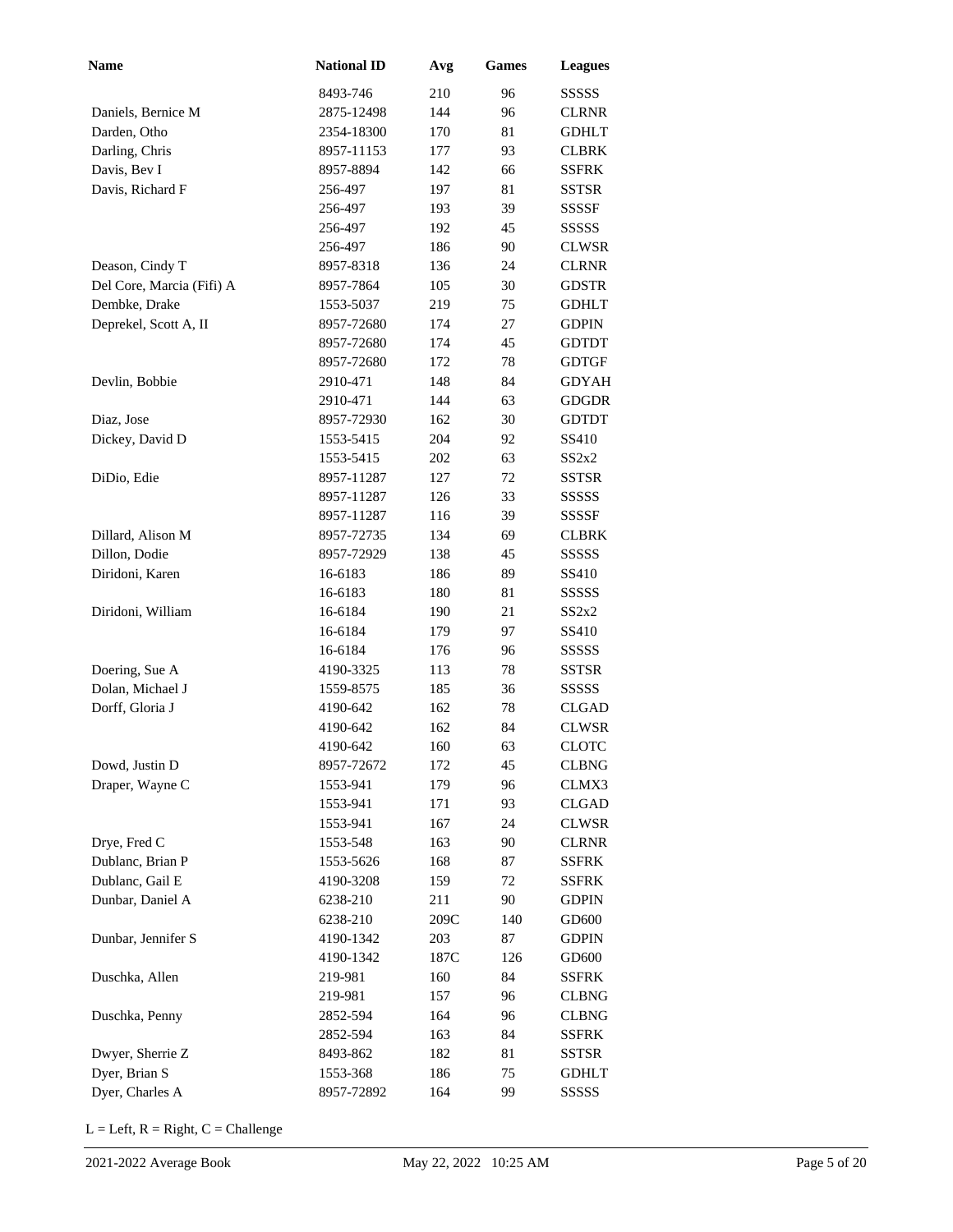| <b>Name</b>               | <b>National ID</b> | Avg  | <b>Games</b> | <b>Leagues</b> |
|---------------------------|--------------------|------|--------------|----------------|
|                           | 8493-746           | 210  | 96           | SSSSS          |
| Daniels, Bernice M        | 2875-12498         | 144  | 96           | <b>CLRNR</b>   |
| Darden, Otho              | 2354-18300         | 170  | 81           | <b>GDHLT</b>   |
| Darling, Chris            | 8957-11153         | 177  | 93           | <b>CLBRK</b>   |
| Davis, Bev I              | 8957-8894          | 142  | 66           | SSFRK          |
| Davis, Richard F          | 256-497            | 197  | 81           | SSTSR          |
|                           | 256-497            | 193  | 39           | SSSSF          |
|                           | 256-497            | 192  | 45           | SSSSS          |
|                           | 256-497            | 186  | 90           | <b>CLWSR</b>   |
| Deason, Cindy T           | 8957-8318          | 136  | 24           | <b>CLRNR</b>   |
| Del Core, Marcia (Fifi) A | 8957-7864          | 105  | 30           | <b>GDSTR</b>   |
| Dembke, Drake             | 1553-5037          | 219  | 75           | <b>GDHLT</b>   |
| Deprekel, Scott A, II     | 8957-72680         | 174  | 27           | <b>GDPIN</b>   |
|                           | 8957-72680         | 174  | 45           | <b>GDTDT</b>   |
|                           | 8957-72680         | 172  | 78           | <b>GDTGF</b>   |
| Devlin, Bobbie            | 2910-471           | 148  | 84           | <b>GDYAH</b>   |
|                           | 2910-471           | 144  | 63           | <b>GDGDR</b>   |
| Diaz, Jose                | 8957-72930         | 162  | 30           | <b>GDTDT</b>   |
| Dickey, David D           | 1553-5415          | 204  | 92           | SS410          |
|                           | 1553-5415          | 202  | 63           | SS2x2          |
| DiDio, Edie               | 8957-11287         | 127  | 72           | <b>SSTSR</b>   |
|                           | 8957-11287         | 126  | 33           | SSSSS          |
|                           | 8957-11287         | 116  | 39           | SSSSF          |
| Dillard, Alison M         | 8957-72735         | 134  | 69           | <b>CLBRK</b>   |
| Dillon, Dodie             | 8957-72929         | 138  | 45           | SSSSS          |
| Diridoni, Karen           | 16-6183            | 186  | 89           | SS410          |
|                           | 16-6183            | 180  | 81           | SSSSS          |
| Diridoni, William         | 16-6184            | 190  | 21           | SS2x2          |
|                           | 16-6184            | 179  | 97           | SS410          |
|                           | 16-6184            | 176  | 96           | SSSSS          |
| Doering, Sue A            | 4190-3325          | 113  | 78           | <b>SSTSR</b>   |
| Dolan, Michael J          | 1559-8575          | 185  | 36           | SSSSS          |
| Dorff, Gloria J           | 4190-642           | 162  | 78           | <b>CLGAD</b>   |
|                           | 4190-642           | 162  | 84           | <b>CLWSR</b>   |
|                           | 4190-642           | 160  | 63           | <b>CLOTC</b>   |
| Dowd, Justin D            | 8957-72672         | 172  | 45           | <b>CLBNG</b>   |
| Draper, Wayne C           | 1553-941           | 179  | 96           | CLMX3          |
|                           | 1553-941           | 171  | 93           | CLGAD          |
|                           | 1553-941           | 167  | 24           | <b>CLWSR</b>   |
| Drye, Fred C              | 1553-548           | 163  | 90           | <b>CLRNR</b>   |
| Dublanc, Brian P          | 1553-5626          | 168  | 87           | SSFRK          |
| Dublanc, Gail E           | 4190-3208          | 159  | 72           | SSFRK          |
| Dunbar, Daniel A          | 6238-210           | 211  | 90           | <b>GDPIN</b>   |
|                           | 6238-210           | 209C | 140          | GD600          |
| Dunbar, Jennifer S        | 4190-1342          | 203  | 87           | <b>GDPIN</b>   |
|                           | 4190-1342          | 187C | 126          | GD600          |
| Duschka, Allen            | 219-981            | 160  | 84           | SSFRK          |
|                           | 219-981            | 157  | 96           | <b>CLBNG</b>   |
| Duschka, Penny            | 2852-594           | 164  | 96           | <b>CLBNG</b>   |
|                           | 2852-594           | 163  | 84           | SSFRK          |
| Dwyer, Sherrie Z          | 8493-862           | 182  | 81           | SSTSR          |
| Dyer, Brian S             | 1553-368           | 186  | 75           | <b>GDHLT</b>   |
| Dyer, Charles A           | 8957-72892         | 164  | 99           | SSSSS          |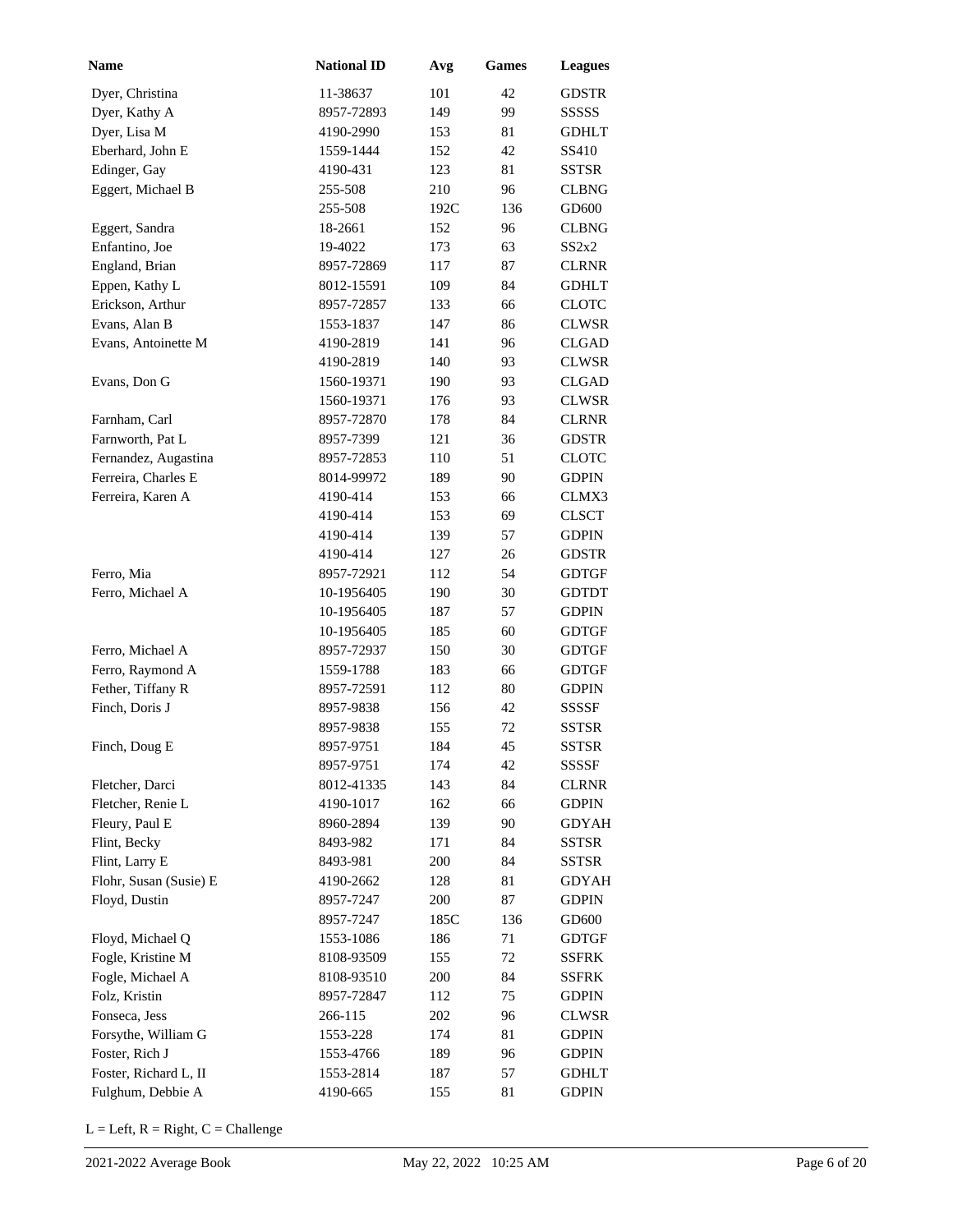| <b>Name</b>            | <b>National ID</b> | Avg  | <b>Games</b> | <b>Leagues</b> |
|------------------------|--------------------|------|--------------|----------------|
| Dyer, Christina        | 11-38637           | 101  | 42           | <b>GDSTR</b>   |
| Dyer, Kathy A          | 8957-72893         | 149  | 99           | SSSSS          |
| Dyer, Lisa M           | 4190-2990          | 153  | 81           | <b>GDHLT</b>   |
| Eberhard, John E       | 1559-1444          | 152  | 42           | SS410          |
| Edinger, Gay           | 4190-431           | 123  | 81           | <b>SSTSR</b>   |
| Eggert, Michael B      | 255-508            | 210  | 96           | <b>CLBNG</b>   |
|                        | 255-508            | 192C | 136          | GD600          |
| Eggert, Sandra         | 18-2661            | 152  | 96           | <b>CLBNG</b>   |
| Enfantino, Joe         | 19-4022            | 173  | 63           | SS2x2          |
| England, Brian         | 8957-72869         | 117  | 87           | <b>CLRNR</b>   |
| Eppen, Kathy L         | 8012-15591         | 109  | 84           | <b>GDHLT</b>   |
| Erickson, Arthur       | 8957-72857         | 133  | 66           | <b>CLOTC</b>   |
| Evans, Alan B          | 1553-1837          | 147  | 86           | <b>CLWSR</b>   |
| Evans, Antoinette M    | 4190-2819          | 141  | 96           | <b>CLGAD</b>   |
|                        | 4190-2819          | 140  | 93           | <b>CLWSR</b>   |
| Evans, Don G           | 1560-19371         | 190  | 93           | <b>CLGAD</b>   |
|                        | 1560-19371         | 176  | 93           | <b>CLWSR</b>   |
| Farnham, Carl          | 8957-72870         | 178  | 84           | <b>CLRNR</b>   |
| Farnworth, Pat L       | 8957-7399          | 121  | 36           | <b>GDSTR</b>   |
| Fernandez, Augastina   | 8957-72853         | 110  | 51           | <b>CLOTC</b>   |
| Ferreira, Charles E    | 8014-99972         | 189  | 90           | <b>GDPIN</b>   |
| Ferreira, Karen A      | 4190-414           | 153  | 66           | CLMX3          |
|                        | 4190-414           | 153  | 69           | <b>CLSCT</b>   |
|                        | 4190-414           | 139  | 57           | <b>GDPIN</b>   |
|                        | 4190-414           | 127  | 26           | <b>GDSTR</b>   |
| Ferro, Mia             | 8957-72921         | 112  | 54           | <b>GDTGF</b>   |
| Ferro, Michael A       | 10-1956405         | 190  | 30           | <b>GDTDT</b>   |
|                        | 10-1956405         | 187  | 57           | <b>GDPIN</b>   |
|                        | 10-1956405         | 185  | 60           | <b>GDTGF</b>   |
| Ferro, Michael A       | 8957-72937         | 150  | 30           | <b>GDTGF</b>   |
| Ferro, Raymond A       | 1559-1788          | 183  | 66           | <b>GDTGF</b>   |
| Fether, Tiffany R      | 8957-72591         | 112  | 80           | <b>GDPIN</b>   |
| Finch, Doris J         | 8957-9838          | 156  | 42           | SSSSF          |
|                        | 8957-9838          | 155  | 72           | <b>SSTSR</b>   |
| Finch, Doug E          | 8957-9751          | 184  | 45           | <b>SSTSR</b>   |
|                        | 8957-9751          | 174  | 42           | <b>SSSSF</b>   |
| Fletcher, Darci        | 8012-41335         | 143  | 84           | <b>CLRNR</b>   |
| Fletcher, Renie L      | 4190-1017          | 162  | 66           | <b>GDPIN</b>   |
| Fleury, Paul E         | 8960-2894          | 139  | 90           | <b>GDYAH</b>   |
| Flint, Becky           | 8493-982           | 171  | 84           | <b>SSTSR</b>   |
| Flint, Larry E         | 8493-981           | 200  | 84           | <b>SSTSR</b>   |
| Flohr, Susan (Susie) E | 4190-2662          | 128  | 81           | <b>GDYAH</b>   |
| Floyd, Dustin          | 8957-7247          | 200  | 87           | <b>GDPIN</b>   |
|                        | 8957-7247          | 185C | 136          | GD600          |
| Floyd, Michael Q       | 1553-1086          | 186  | 71           | <b>GDTGF</b>   |
| Fogle, Kristine M      | 8108-93509         | 155  | 72           | <b>SSFRK</b>   |
| Fogle, Michael A       | 8108-93510         | 200  | 84           | <b>SSFRK</b>   |
| Folz, Kristin          | 8957-72847         | 112  | 75           | <b>GDPIN</b>   |
| Fonseca, Jess          | 266-115            | 202  | 96           | <b>CLWSR</b>   |
| Forsythe, William G    | 1553-228           | 174  | 81           | <b>GDPIN</b>   |
| Foster, Rich J         | 1553-4766          | 189  | 96           | <b>GDPIN</b>   |
| Foster, Richard L, II  | 1553-2814          | 187  | 57           | <b>GDHLT</b>   |
| Fulghum, Debbie A      | 4190-665           | 155  | 81           | <b>GDPIN</b>   |
|                        |                    |      |              |                |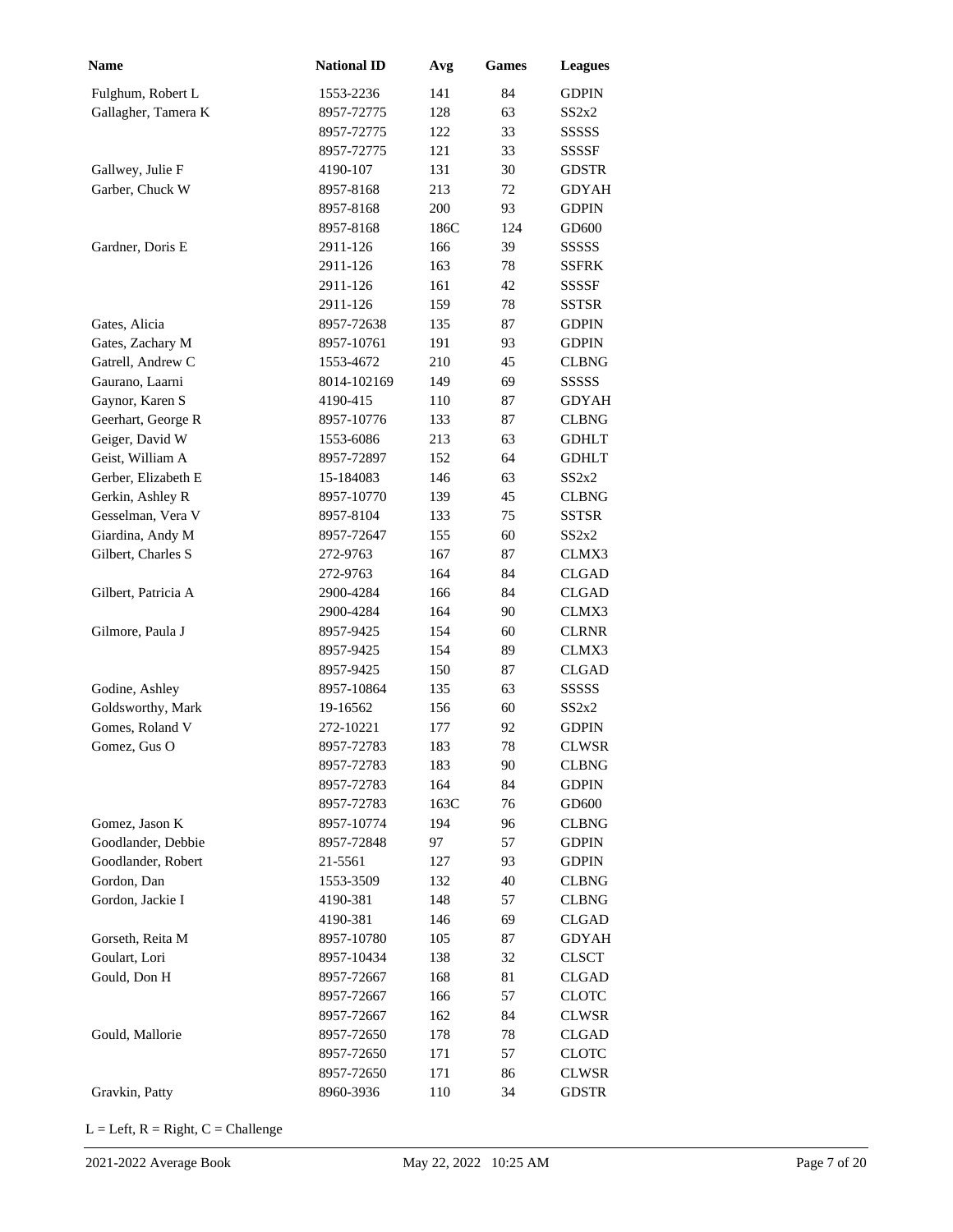| Name                | <b>National ID</b> | Avg  | <b>Games</b> | <b>Leagues</b> |
|---------------------|--------------------|------|--------------|----------------|
| Fulghum, Robert L   | 1553-2236          | 141  | 84           | <b>GDPIN</b>   |
| Gallagher, Tamera K | 8957-72775         | 128  | 63           | SS2x2          |
|                     | 8957-72775         | 122  | 33           | SSSSS          |
|                     | 8957-72775         | 121  | 33           | SSSSF          |
| Gallwey, Julie F    | 4190-107           | 131  | 30           | <b>GDSTR</b>   |
| Garber, Chuck W     | 8957-8168          | 213  | 72           | <b>GDYAH</b>   |
|                     | 8957-8168          | 200  | 93           | <b>GDPIN</b>   |
|                     | 8957-8168          | 186C | 124          | GD600          |
| Gardner, Doris E    | 2911-126           | 166  | 39           | SSSSS          |
|                     | 2911-126           | 163  | 78           | <b>SSFRK</b>   |
|                     | 2911-126           | 161  | 42           | SSSSF          |
|                     | 2911-126           | 159  | 78           | <b>SSTSR</b>   |
| Gates, Alicia       | 8957-72638         | 135  | 87           | <b>GDPIN</b>   |
| Gates, Zachary M    | 8957-10761         | 191  | 93           | <b>GDPIN</b>   |
| Gatrell, Andrew C   | 1553-4672          | 210  | 45           | <b>CLBNG</b>   |
| Gaurano, Laarni     | 8014-102169        | 149  | 69           | SSSSS          |
| Gaynor, Karen S     | 4190-415           | 110  | 87           | <b>GDYAH</b>   |
| Geerhart, George R  | 8957-10776         | 133  | 87           | <b>CLBNG</b>   |
| Geiger, David W     | 1553-6086          | 213  | 63           | <b>GDHLT</b>   |
| Geist, William A    | 8957-72897         | 152  | 64           | <b>GDHLT</b>   |
| Gerber, Elizabeth E | 15-184083          | 146  | 63           | SS2x2          |
| Gerkin, Ashley R    | 8957-10770         | 139  | 45           | <b>CLBNG</b>   |
| Gesselman, Vera V   | 8957-8104          | 133  | 75           | <b>SSTSR</b>   |
| Giardina, Andy M    | 8957-72647         | 155  | 60           | SS2x2          |
| Gilbert, Charles S  | 272-9763           | 167  | 87           | CLMX3          |
|                     | 272-9763           | 164  | 84           | <b>CLGAD</b>   |
| Gilbert, Patricia A | 2900-4284          | 166  | 84           | <b>CLGAD</b>   |
|                     | 2900-4284          | 164  | 90           | CLMX3          |
| Gilmore, Paula J    | 8957-9425          | 154  | 60           | <b>CLRNR</b>   |
|                     | 8957-9425          | 154  | 89           | CLMX3          |
|                     | 8957-9425          | 150  | 87           | <b>CLGAD</b>   |
| Godine, Ashley      | 8957-10864         | 135  | 63           | SSSSS          |
| Goldsworthy, Mark   | 19-16562           | 156  | 60           | SS2x2          |
| Gomes, Roland V     | 272-10221          | 177  | 92           | <b>GDPIN</b>   |
| Gomez, Gus O        | 8957-72783         | 183  | 78           | <b>CLWSR</b>   |
|                     | 8957-72783         | 183  | 90           | <b>CLBNG</b>   |
|                     | 8957-72783         | 164  | 84           | <b>GDPIN</b>   |
|                     | 8957-72783         | 163C | 76           | GD600          |
| Gomez, Jason K      | 8957-10774         | 194  | 96           | <b>CLBNG</b>   |
| Goodlander, Debbie  | 8957-72848         | 97   | 57           | <b>GDPIN</b>   |
| Goodlander, Robert  | 21-5561            | 127  | 93           | <b>GDPIN</b>   |
| Gordon, Dan         | 1553-3509          | 132  | 40           | <b>CLBNG</b>   |
| Gordon, Jackie I    | 4190-381           | 148  | 57           | <b>CLBNG</b>   |
|                     | 4190-381           | 146  | 69           | <b>CLGAD</b>   |
| Gorseth, Reita M    | 8957-10780         | 105  | 87           | GDYAH          |
| Goulart, Lori       | 8957-10434         | 138  | 32           | <b>CLSCT</b>   |
| Gould, Don H        | 8957-72667         | 168  | 81           | <b>CLGAD</b>   |
|                     | 8957-72667         | 166  | 57           | <b>CLOTC</b>   |
|                     | 8957-72667         | 162  | 84           | <b>CLWSR</b>   |
| Gould, Mallorie     | 8957-72650         | 178  | 78           | <b>CLGAD</b>   |
|                     | 8957-72650         | 171  | 57           | <b>CLOTC</b>   |
|                     | 8957-72650         | 171  | 86           | <b>CLWSR</b>   |
| Gravkin, Patty      | 8960-3936          | 110  | 34           | <b>GDSTR</b>   |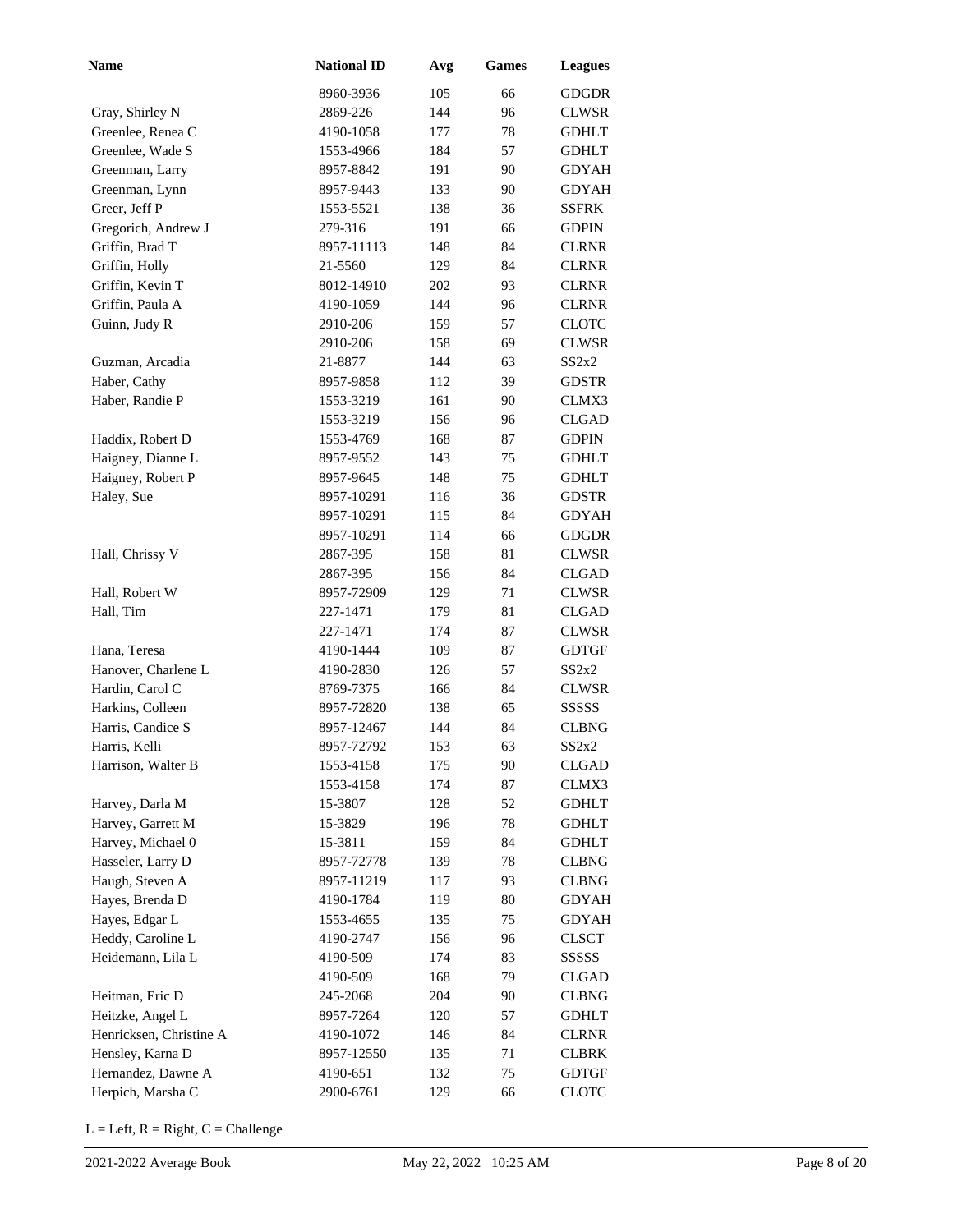| Name                    | <b>National ID</b> | Avg | Games | <b>Leagues</b> |
|-------------------------|--------------------|-----|-------|----------------|
|                         | 8960-3936          | 105 | 66    | <b>GDGDR</b>   |
| Gray, Shirley N         | 2869-226           | 144 | 96    | <b>CLWSR</b>   |
| Greenlee, Renea C       | 4190-1058          | 177 | 78    | <b>GDHLT</b>   |
| Greenlee, Wade S        | 1553-4966          | 184 | 57    | <b>GDHLT</b>   |
| Greenman, Larry         | 8957-8842          | 191 | 90    | GDYAH          |
| Greenman, Lynn          | 8957-9443          | 133 | 90    | <b>GDYAH</b>   |
| Greer, Jeff P           | 1553-5521          | 138 | 36    | <b>SSFRK</b>   |
| Gregorich, Andrew J     | 279-316            | 191 | 66    | <b>GDPIN</b>   |
| Griffin, Brad T         | 8957-11113         | 148 | 84    | <b>CLRNR</b>   |
| Griffin, Holly          | 21-5560            | 129 | 84    | <b>CLRNR</b>   |
| Griffin, Kevin T        | 8012-14910         | 202 | 93    | <b>CLRNR</b>   |
| Griffin, Paula A        | 4190-1059          | 144 | 96    | <b>CLRNR</b>   |
| Guinn, Judy R           | 2910-206           | 159 | 57    | <b>CLOTC</b>   |
|                         | 2910-206           | 158 | 69    | CLWSR          |
| Guzman, Arcadia         | 21-8877            | 144 | 63    | SS2x2          |
| Haber, Cathy            | 8957-9858          | 112 | 39    | GDSTR          |
| Haber, Randie P         | 1553-3219          | 161 | 90    | CLMX3          |
|                         | 1553-3219          | 156 | 96    | <b>CLGAD</b>   |
| Haddix, Robert D        | 1553-4769          | 168 | 87    | <b>GDPIN</b>   |
| Haigney, Dianne L       | 8957-9552          | 143 | 75    | <b>GDHLT</b>   |
| Haigney, Robert P       | 8957-9645          | 148 | 75    | <b>GDHLT</b>   |
| Haley, Sue              | 8957-10291         | 116 | 36    | <b>GDSTR</b>   |
|                         | 8957-10291         | 115 | 84    | <b>GDYAH</b>   |
|                         | 8957-10291         | 114 | 66    | <b>GDGDR</b>   |
| Hall, Chrissy V         | 2867-395           | 158 | 81    | <b>CLWSR</b>   |
|                         | 2867-395           | 156 | 84    | <b>CLGAD</b>   |
| Hall, Robert W          | 8957-72909         | 129 | 71    | <b>CLWSR</b>   |
| Hall, Tim               | 227-1471           | 179 | 81    | <b>CLGAD</b>   |
|                         | 227-1471           | 174 | 87    | <b>CLWSR</b>   |
| Hana, Teresa            | 4190-1444          | 109 | 87    | <b>GDTGF</b>   |
| Hanover, Charlene L     | 4190-2830          | 126 | 57    | SS2x2          |
| Hardin, Carol C         | 8769-7375          | 166 | 84    | CLWSR          |
| Harkins, Colleen        | 8957-72820         | 138 | 65    | SSSSS          |
| Harris, Candice S       | 8957-12467         | 144 | 84    | <b>CLBNG</b>   |
| Harris, Kelli           | 8957-72792         | 153 | 63    | SS2x2          |
| Harrison, Walter B      | 1553-4158          | 175 | 90    | <b>CLGAD</b>   |
|                         | 1553-4158          | 174 | 87    | CLMX3          |
| Harvey, Darla M         | 15-3807            | 128 | 52    | <b>GDHLT</b>   |
| Harvey, Garrett M       | 15-3829            | 196 | 78    | <b>GDHLT</b>   |
| Harvey, Michael 0       | 15-3811            | 159 | 84    | <b>GDHLT</b>   |
| Hasseler, Larry D       | 8957-72778         | 139 | 78    | <b>CLBNG</b>   |
| Haugh, Steven A         | 8957-11219         | 117 | 93    | <b>CLBNG</b>   |
| Hayes, Brenda D         | 4190-1784          | 119 | 80    | <b>GDYAH</b>   |
| Hayes, Edgar L          | 1553-4655          | 135 | 75    | <b>GDYAH</b>   |
| Heddy, Caroline L       | 4190-2747          | 156 | 96    | <b>CLSCT</b>   |
| Heidemann, Lila L       | 4190-509           | 174 | 83    | SSSSS          |
|                         | 4190-509           | 168 | 79    | CLGAD          |
| Heitman, Eric D         | 245-2068           | 204 | 90    | <b>CLBNG</b>   |
| Heitzke, Angel L        | 8957-7264          | 120 | 57    | <b>GDHLT</b>   |
| Henricksen, Christine A | 4190-1072          | 146 | 84    | <b>CLRNR</b>   |
| Hensley, Karna D        | 8957-12550         | 135 | 71    | <b>CLBRK</b>   |
| Hernandez, Dawne A      | 4190-651           | 132 | 75    | <b>GDTGF</b>   |
| Herpich, Marsha C       | 2900-6761          | 129 | 66    | <b>CLOTC</b>   |
|                         |                    |     |       |                |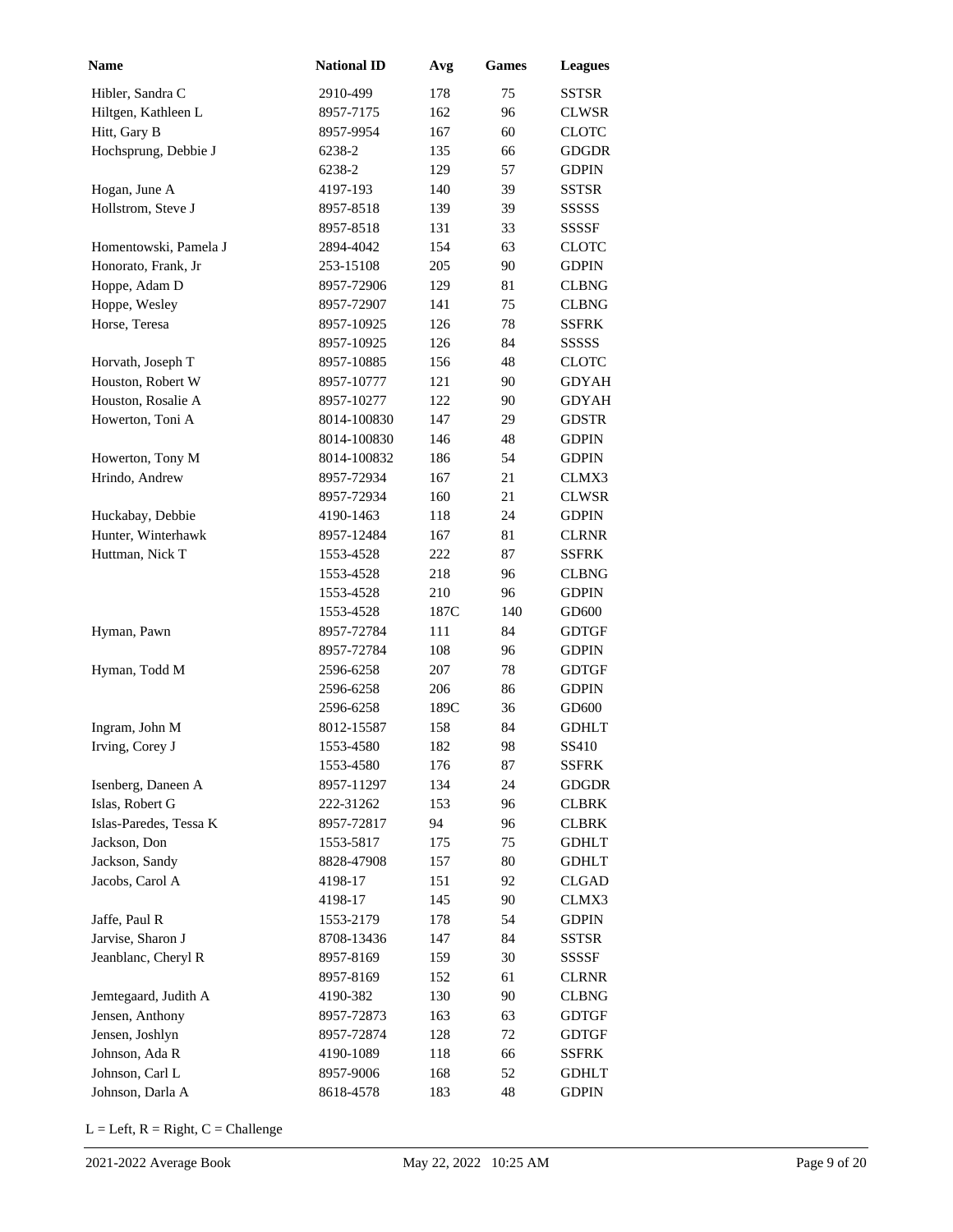| <b>Name</b>                           | <b>National ID</b> | Avg  | <b>Games</b> | <b>Leagues</b>               |
|---------------------------------------|--------------------|------|--------------|------------------------------|
| Hibler, Sandra C                      | 2910-499           | 178  | 75           | SSTSR                        |
| Hiltgen, Kathleen L                   | 8957-7175          | 162  | 96           | <b>CLWSR</b>                 |
| Hitt, Gary B                          | 8957-9954          | 167  | 60           | <b>CLOTC</b>                 |
| Hochsprung, Debbie J                  | 6238-2             | 135  | 66           | GDGDR                        |
|                                       | 6238-2             | 129  | 57           | <b>GDPIN</b>                 |
| Hogan, June A                         | 4197-193           | 140  | 39           | SSTSR                        |
| Hollstrom, Steve J                    | 8957-8518          | 139  | 39           | SSSSS                        |
|                                       | 8957-8518          | 131  | 33           | SSSSF                        |
| Homentowski, Pamela J                 | 2894-4042          | 154  | 63           | <b>CLOTC</b>                 |
| Honorato, Frank, Jr                   | 253-15108          | 205  | 90           | <b>GDPIN</b>                 |
| Hoppe, Adam D                         | 8957-72906         | 129  | 81           | <b>CLBNG</b>                 |
| Hoppe, Wesley                         | 8957-72907         | 141  | 75           | <b>CLBNG</b>                 |
| Horse, Teresa                         | 8957-10925         | 126  | 78           | <b>SSFRK</b>                 |
|                                       | 8957-10925         | 126  | 84           | <b>SSSSS</b>                 |
| Horvath, Joseph T                     | 8957-10885         | 156  | 48           | <b>CLOTC</b>                 |
| Houston, Robert W                     | 8957-10777         | 121  | 90           | <b>GDYAH</b>                 |
| Houston, Rosalie A                    | 8957-10277         | 122  | 90           | <b>GDYAH</b>                 |
| Howerton, Toni A                      | 8014-100830        | 147  | 29           | <b>GDSTR</b>                 |
|                                       | 8014-100830        | 146  | 48           | <b>GDPIN</b>                 |
| Howerton, Tony M                      | 8014-100832        | 186  | 54           | <b>GDPIN</b>                 |
| Hrindo, Andrew                        | 8957-72934         | 167  | 21           | CLMX3                        |
|                                       | 8957-72934         | 160  | 21           | CLWSR                        |
| Huckabay, Debbie                      | 4190-1463          | 118  | 24           | <b>GDPIN</b>                 |
| Hunter, Winterhawk                    | 8957-12484         | 167  | 81           | <b>CLRNR</b>                 |
| Huttman, Nick T                       | 1553-4528          | 222  | 87           | SSFRK                        |
|                                       | 1553-4528          | 218  | 96           | <b>CLBNG</b>                 |
|                                       | 1553-4528          | 210  | 96           | <b>GDPIN</b>                 |
|                                       | 1553-4528          | 187C | 140          | GD600                        |
| Hyman, Pawn                           | 8957-72784         | 111  | 84           | <b>GDTGF</b>                 |
|                                       | 8957-72784         | 108  | 96           | <b>GDPIN</b>                 |
| Hyman, Todd M                         | 2596-6258          | 207  | 78           | <b>GDTGF</b>                 |
|                                       | 2596-6258          | 206  | 86           | <b>GDPIN</b>                 |
|                                       | 2596-6258          | 189C | 36           | GD600                        |
| Ingram, John M                        | 8012-15587         | 158  | 84           | <b>GDHLT</b>                 |
| Irving, Corey J                       | 1553-4580          | 182  | 98           | SS410                        |
|                                       | 1553-4580          | 176  | 87           | <b>SSFRK</b>                 |
|                                       | 8957-11297         | 134  | 24           | <b>GDGDR</b>                 |
| Isenberg, Daneen A<br>Islas, Robert G | 222-31262          | 153  | 96           |                              |
| Islas-Paredes, Tessa K                | 8957-72817         | 94   | 96           | <b>CLBRK</b><br><b>CLBRK</b> |
| Jackson, Don                          | 1553-5817          | 175  | 75           | <b>GDHLT</b>                 |
| Jackson, Sandy                        |                    |      | 80           | <b>GDHLT</b>                 |
|                                       | 8828-47908         | 157  |              |                              |
| Jacobs, Carol A                       | 4198-17            | 151  | 92           | <b>CLGAD</b>                 |
|                                       | 4198-17            | 145  | 90           | CLMX3                        |
| Jaffe, Paul R                         | 1553-2179          | 178  | 54           | <b>GDPIN</b>                 |
| Jarvise, Sharon J                     | 8708-13436         | 147  | 84           | <b>SSTSR</b>                 |
| Jeanblanc, Cheryl R                   | 8957-8169          | 159  | 30           | SSSSF                        |
|                                       | 8957-8169          | 152  | 61           | <b>CLRNR</b>                 |
| Jemtegaard, Judith A                  | 4190-382           | 130  | 90           | <b>CLBNG</b>                 |
| Jensen, Anthony                       | 8957-72873         | 163  | 63           | <b>GDTGF</b>                 |
| Jensen, Joshlyn                       | 8957-72874         | 128  | 72           | <b>GDTGF</b>                 |
| Johnson, Ada R                        | 4190-1089          | 118  | 66           | <b>SSFRK</b>                 |
| Johnson, Carl L                       | 8957-9006          | 168  | 52           | <b>GDHLT</b>                 |
| Johnson, Darla A                      | 8618-4578          | 183  | 48           | GDPIN                        |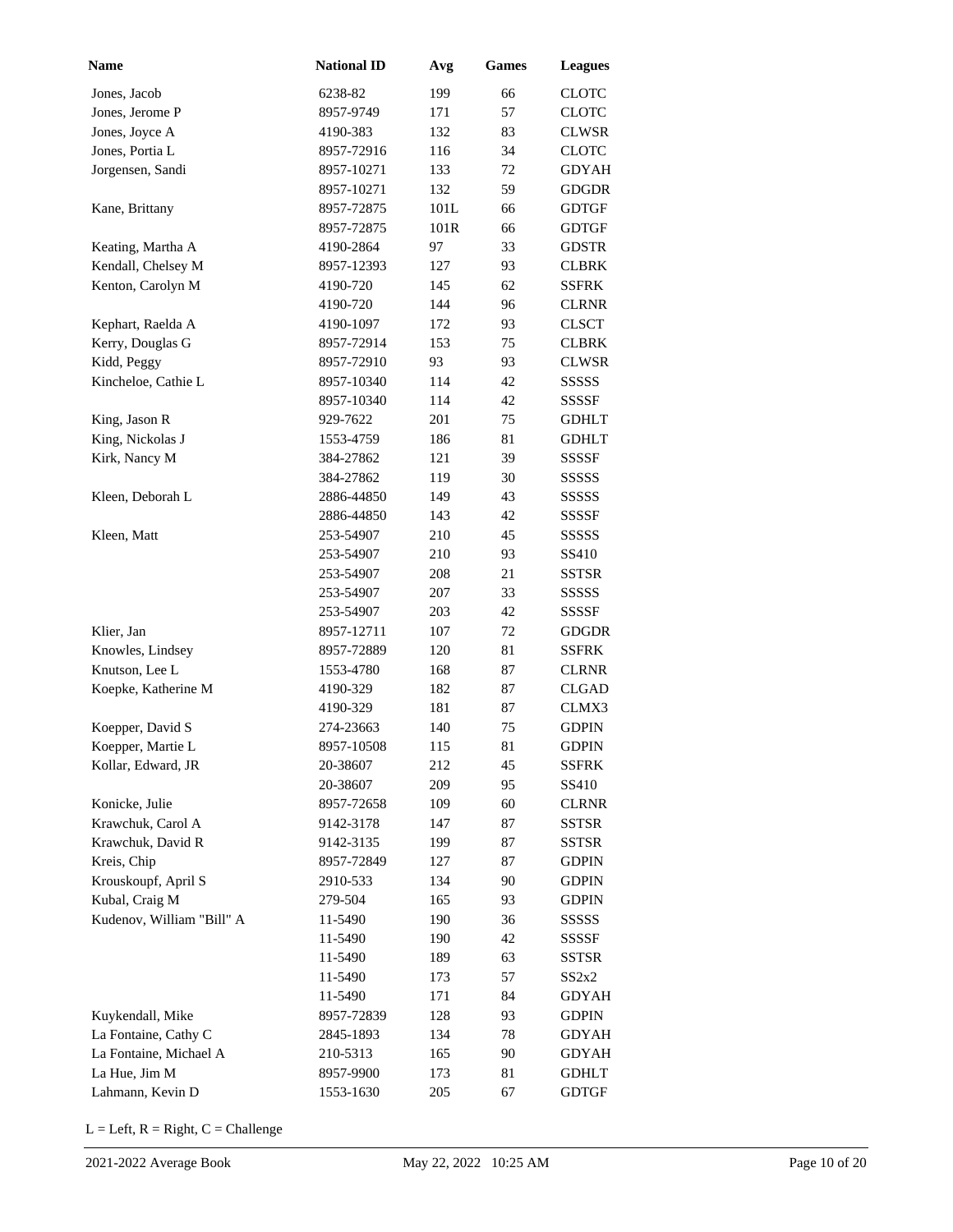| Name                      | <b>National ID</b> | Avg  | <b>Games</b> | <b>Leagues</b> |
|---------------------------|--------------------|------|--------------|----------------|
| Jones, Jacob              | 6238-82            | 199  | 66           | <b>CLOTC</b>   |
| Jones, Jerome P           | 8957-9749          | 171  | 57           | <b>CLOTC</b>   |
| Jones, Joyce A            | 4190-383           | 132  | 83           | <b>CLWSR</b>   |
| Jones, Portia L           | 8957-72916         | 116  | 34           | <b>CLOTC</b>   |
| Jorgensen, Sandi          | 8957-10271         | 133  | 72           | <b>GDYAH</b>   |
|                           | 8957-10271         | 132  | 59           | <b>GDGDR</b>   |
| Kane, Brittany            | 8957-72875         | 101L | 66           | <b>GDTGF</b>   |
|                           | 8957-72875         | 101R | 66           | <b>GDTGF</b>   |
| Keating, Martha A         | 4190-2864          | 97   | 33           | <b>GDSTR</b>   |
| Kendall, Chelsey M        | 8957-12393         | 127  | 93           | <b>CLBRK</b>   |
| Kenton, Carolyn M         | 4190-720           | 145  | 62           | <b>SSFRK</b>   |
|                           | 4190-720           | 144  | 96           | <b>CLRNR</b>   |
| Kephart, Raelda A         | 4190-1097          | 172  | 93           | <b>CLSCT</b>   |
| Kerry, Douglas G          | 8957-72914         | 153  | 75           | <b>CLBRK</b>   |
| Kidd, Peggy               | 8957-72910         | 93   | 93           | <b>CLWSR</b>   |
| Kincheloe, Cathie L       | 8957-10340         | 114  | 42           | <b>SSSSS</b>   |
|                           | 8957-10340         | 114  | 42           | <b>SSSSF</b>   |
| King, Jason R             | 929-7622           | 201  | 75           | <b>GDHLT</b>   |
| King, Nickolas J          | 1553-4759          | 186  | 81           | <b>GDHLT</b>   |
| Kirk, Nancy M             | 384-27862          | 121  | 39           | <b>SSSSF</b>   |
|                           | 384-27862          | 119  | 30           | SSSSS          |
| Kleen, Deborah L          | 2886-44850         | 149  | 43           | SSSSS          |
|                           | 2886-44850         | 143  | 42           | SSSSF          |
| Kleen, Matt               | 253-54907          | 210  | 45           | SSSSS          |
|                           | 253-54907          | 210  | 93           | SS410          |
|                           | 253-54907          | 208  | 21           | <b>SSTSR</b>   |
|                           | 253-54907          | 207  | 33           | SSSSS          |
|                           | 253-54907          | 203  | 42           | SSSSF          |
| Klier, Jan                | 8957-12711         | 107  | 72           | <b>GDGDR</b>   |
| Knowles, Lindsey          | 8957-72889         | 120  | 81           | <b>SSFRK</b>   |
| Knutson, Lee L            | 1553-4780          | 168  | 87           | <b>CLRNR</b>   |
| Koepke, Katherine M       | 4190-329           | 182  | 87           | <b>CLGAD</b>   |
|                           | 4190-329           | 181  | 87           | CLMX3          |
| Koepper, David S          | 274-23663          | 140  | 75           | <b>GDPIN</b>   |
| Koepper, Martie L         | 8957-10508         | 115  | 81           | <b>GDPIN</b>   |
| Kollar, Edward, JR        | 20-38607           | 212  | 45           | <b>SSFRK</b>   |
|                           | 20-38607           | 209  | 95           | SS410          |
| Konicke, Julie            | 8957-72658         | 109  | 60           | <b>CLRNR</b>   |
| Krawchuk, Carol A         | 9142-3178          | 147  | 87           | SSTSR          |
| Krawchuk, David R         | 9142-3135          | 199  | 87           | SSTSR          |
| Kreis, Chip               | 8957-72849         | 127  | 87           | GDPIN          |
| Krouskoupf, April S       | 2910-533           | 134  | 90           | <b>GDPIN</b>   |
| Kubal, Craig M            | 279-504            | 165  | 93           | <b>GDPIN</b>   |
| Kudenov, William "Bill" A | 11-5490            | 190  | 36           | SSSSS          |
|                           | 11-5490            | 190  | 42           | SSSSF          |
|                           | 11-5490            | 189  | 63           | SSTSR          |
|                           | 11-5490            | 173  | 57           | SS2x2          |
|                           | 11-5490            | 171  | 84           | <b>GDYAH</b>   |
| Kuykendall, Mike          | 8957-72839         | 128  | 93           | <b>GDPIN</b>   |
| La Fontaine, Cathy C      | 2845-1893          | 134  | 78           | GDYAH          |
| La Fontaine, Michael A    | 210-5313           | 165  | 90           | GDYAH          |
| La Hue, Jim M             | 8957-9900          | 173  | 81           | <b>GDHLT</b>   |
| Lahmann, Kevin D          | 1553-1630          | 205  | 67           | GDTGF          |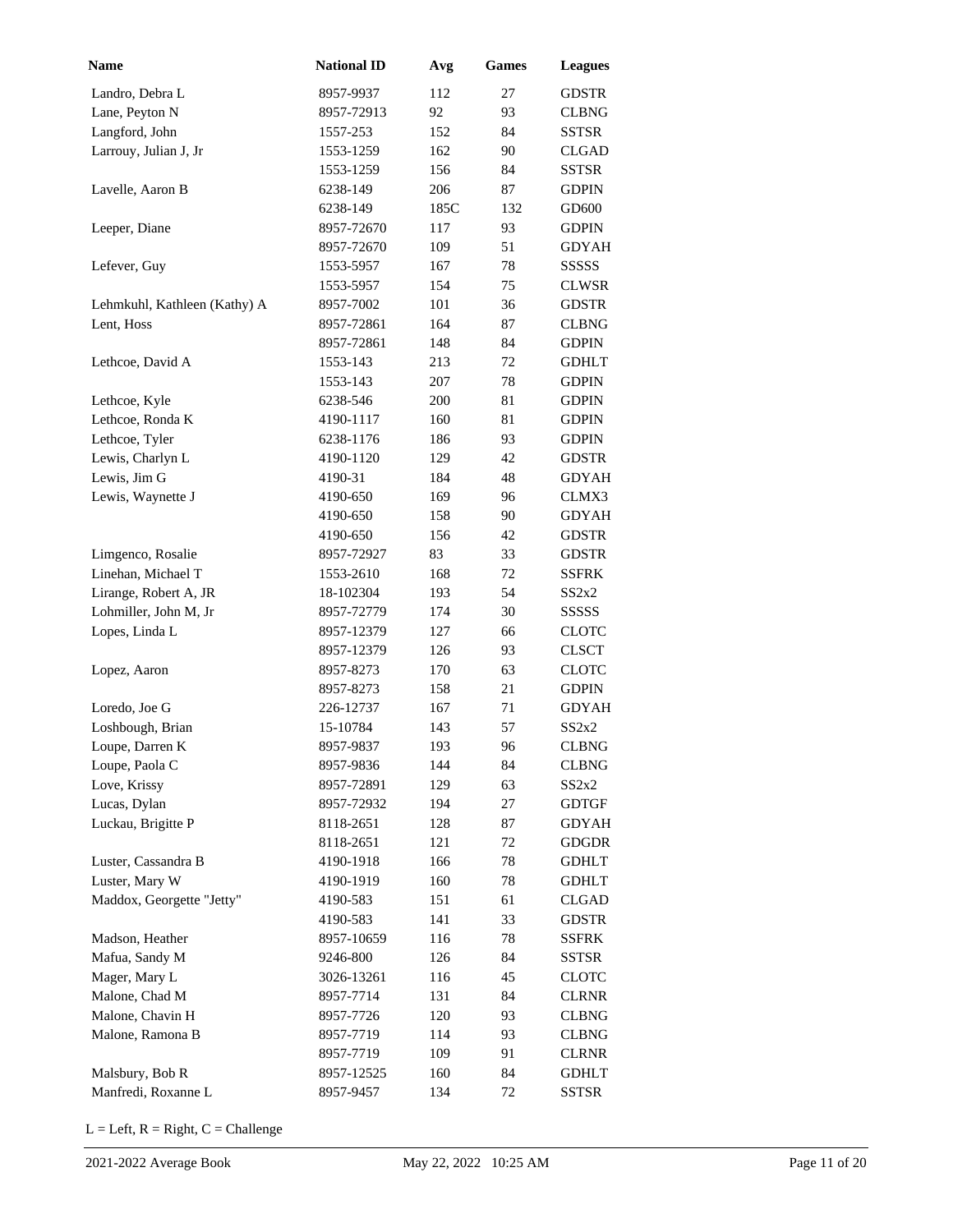| <b>Name</b>                  | <b>National ID</b> | Avg        | <b>Games</b> | <b>Leagues</b>        |
|------------------------------|--------------------|------------|--------------|-----------------------|
| Landro, Debra L              | 8957-9937          | 112        | 27           | <b>GDSTR</b>          |
| Lane, Peyton N               | 8957-72913         | 92         | 93           | <b>CLBNG</b>          |
| Langford, John               | 1557-253           | 152        | 84           | <b>SSTSR</b>          |
| Larrouy, Julian J, Jr        | 1553-1259          | 162        | 90           | CLGAD                 |
|                              | 1553-1259          | 156        | 84           | SSTSR                 |
| Lavelle, Aaron B             | 6238-149           | 206        | 87           | <b>GDPIN</b>          |
|                              | 6238-149           | 185C       | 132          | GD600                 |
| Leeper, Diane                | 8957-72670         | 117        | 93           | <b>GDPIN</b>          |
|                              | 8957-72670         | 109        | 51           | <b>GDYAH</b>          |
| Lefever, Guy                 | 1553-5957          | 167        | 78           | SSSSS                 |
|                              | 1553-5957          | 154        | 75           | <b>CLWSR</b>          |
| Lehmkuhl, Kathleen (Kathy) A | 8957-7002          | 101        | 36           | <b>GDSTR</b>          |
| Lent, Hoss                   | 8957-72861         | 164        | 87           | <b>CLBNG</b>          |
|                              | 8957-72861         | 148        | 84           | <b>GDPIN</b>          |
| Lethcoe, David A             | 1553-143           | 213        | 72           | <b>GDHLT</b>          |
|                              | 1553-143           | 207        | 78           | <b>GDPIN</b>          |
| Lethcoe, Kyle                | 6238-546           | 200        | 81           | <b>GDPIN</b>          |
| Lethcoe, Ronda K             | 4190-1117          | 160        | 81           | <b>GDPIN</b>          |
| Lethcoe, Tyler               | 6238-1176          | 186        | 93           | <b>GDPIN</b>          |
| Lewis, Charlyn L             | 4190-1120          | 129        | 42           | <b>GDSTR</b>          |
| Lewis, Jim G                 | 4190-31            | 184        | 48           | <b>GDYAH</b>          |
| Lewis, Waynette J            | 4190-650           |            | 96           |                       |
|                              | 4190-650           | 169<br>158 | 90           | CLMX3<br><b>GDYAH</b> |
|                              |                    |            | 42           |                       |
|                              | 4190-650           | 156<br>83  |              | <b>GDSTR</b>          |
| Limgenco, Rosalie            | 8957-72927         |            | 33           | <b>GDSTR</b>          |
| Linehan, Michael T           | 1553-2610          | 168        | 72           | <b>SSFRK</b>          |
| Lirange, Robert A, JR        | 18-102304          | 193        | 54           | SS2x2                 |
| Lohmiller, John M, Jr        | 8957-72779         | 174        | 30           | SSSSS                 |
| Lopes, Linda L               | 8957-12379         | 127        | 66           | <b>CLOTC</b>          |
|                              | 8957-12379         | 126        | 93           | <b>CLSCT</b>          |
| Lopez, Aaron                 | 8957-8273          | 170        | 63           | <b>CLOTC</b>          |
|                              | 8957-8273          | 158        | 21           | <b>GDPIN</b>          |
| Loredo, Joe G                | 226-12737          | 167        | 71           | <b>GDYAH</b>          |
| Loshbough, Brian             | 15-10784           | 143        | 57           | SS2x2                 |
| Loupe, Darren K              | 8957-9837          | 193        | 96           | <b>CLBNG</b>          |
| Loupe, Paola C               | 8957-9836          | 144        | 84           | <b>CLBNG</b>          |
| Love, Krissy                 | 8957-72891         | 129        | 63           | SS2x2                 |
| Lucas, Dylan                 | 8957-72932         | 194        | 27           | <b>GDTGF</b>          |
| Luckau, Brigitte P           | 8118-2651          | 128        | 87           | GDYAH                 |
|                              | 8118-2651          | 121        | 72           | <b>GDGDR</b>          |
| Luster, Cassandra B          | 4190-1918          | 166        | 78           | <b>GDHLT</b>          |
| Luster, Mary W               | 4190-1919          | 160        | 78           | <b>GDHLT</b>          |
| Maddox, Georgette "Jetty"    | 4190-583           | 151        | 61           | <b>CLGAD</b>          |
|                              | 4190-583           | 141        | 33           | <b>GDSTR</b>          |
| Madson, Heather              | 8957-10659         | 116        | 78           | <b>SSFRK</b>          |
| Mafua, Sandy M               | 9246-800           | 126        | 84           | SSTSR                 |
| Mager, Mary L                | 3026-13261         | 116        | 45           | <b>CLOTC</b>          |
| Malone, Chad M               | 8957-7714          | 131        | 84           | <b>CLRNR</b>          |
| Malone, Chavin H             | 8957-7726          | 120        | 93           | <b>CLBNG</b>          |
| Malone, Ramona B             | 8957-7719          | 114        | 93           | <b>CLBNG</b>          |
|                              | 8957-7719          | 109        | 91           | <b>CLRNR</b>          |
| Malsbury, Bob R              | 8957-12525         | 160        | 84           | <b>GDHLT</b>          |
| Manfredi, Roxanne L          | 8957-9457          | 134        | 72           | <b>SSTSR</b>          |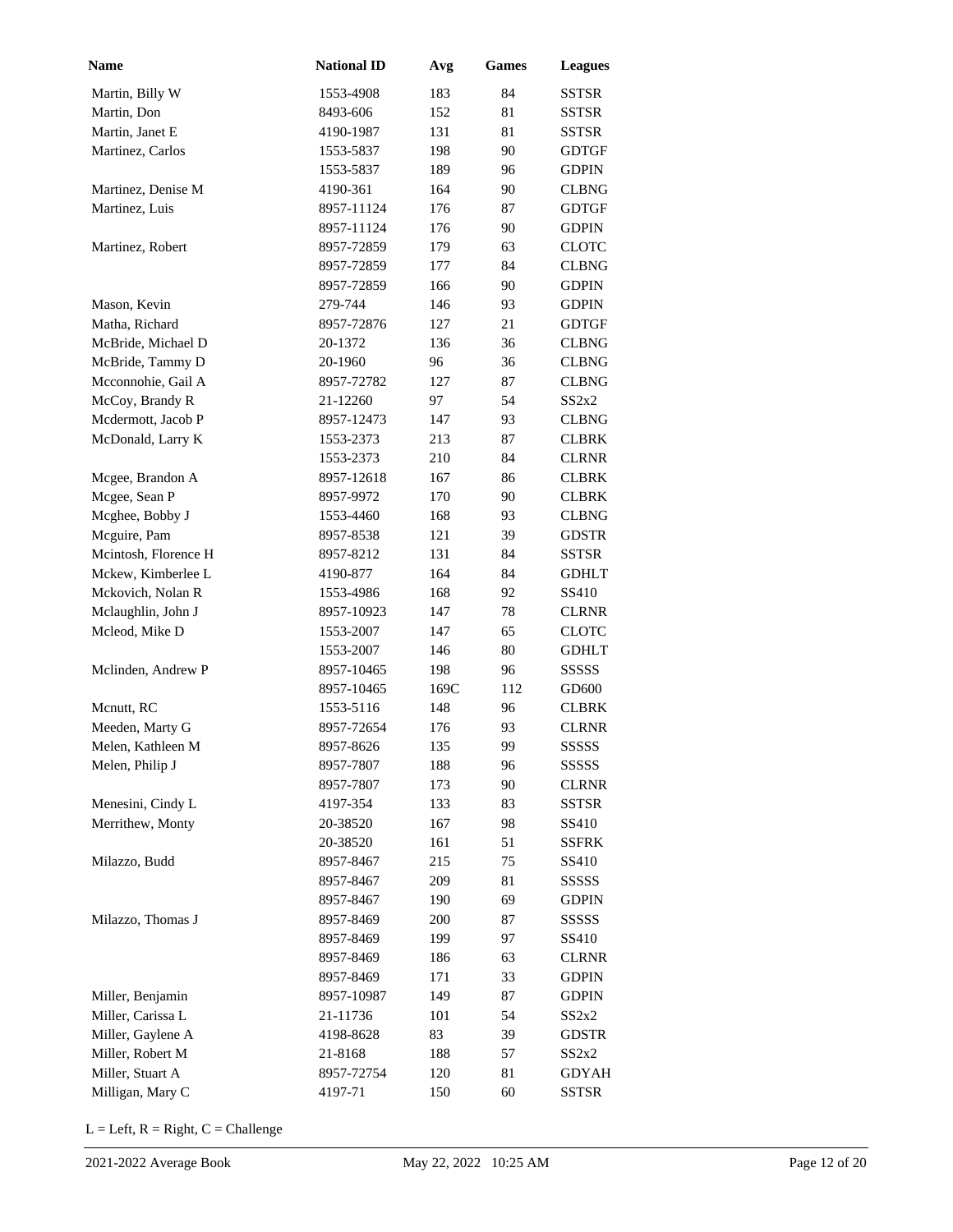| <b>Name</b>          | <b>National ID</b> | Avg  | <b>Games</b> | <b>Leagues</b> |
|----------------------|--------------------|------|--------------|----------------|
| Martin, Billy W      | 1553-4908          | 183  | 84           | <b>SSTSR</b>   |
| Martin, Don          | 8493-606           | 152  | 81           | <b>SSTSR</b>   |
| Martin, Janet E      | 4190-1987          | 131  | 81           | <b>SSTSR</b>   |
| Martinez, Carlos     | 1553-5837          | 198  | 90           | <b>GDTGF</b>   |
|                      | 1553-5837          | 189  | 96           | <b>GDPIN</b>   |
| Martinez, Denise M   | 4190-361           | 164  | 90           | <b>CLBNG</b>   |
| Martinez, Luis       | 8957-11124         | 176  | 87           | <b>GDTGF</b>   |
|                      | 8957-11124         | 176  | 90           | <b>GDPIN</b>   |
| Martinez, Robert     | 8957-72859         | 179  | 63           | <b>CLOTC</b>   |
|                      | 8957-72859         | 177  | 84           | <b>CLBNG</b>   |
|                      | 8957-72859         | 166  | 90           | <b>GDPIN</b>   |
| Mason, Kevin         | 279-744            | 146  | 93           | <b>GDPIN</b>   |
| Matha, Richard       | 8957-72876         | 127  | 21           | <b>GDTGF</b>   |
| McBride, Michael D   | 20-1372            | 136  | 36           | <b>CLBNG</b>   |
| McBride, Tammy D     | 20-1960            | 96   | 36           | <b>CLBNG</b>   |
| Mcconnohie, Gail A   | 8957-72782         | 127  | 87           | <b>CLBNG</b>   |
| McCoy, Brandy R      | 21-12260           | 97   | 54           | SS2x2          |
| Mcdermott, Jacob P   | 8957-12473         | 147  | 93           | <b>CLBNG</b>   |
| McDonald, Larry K    | 1553-2373          | 213  | 87           | <b>CLBRK</b>   |
|                      | 1553-2373          | 210  | 84           | <b>CLRNR</b>   |
| Mcgee, Brandon A     | 8957-12618         | 167  | 86           | <b>CLBRK</b>   |
| Mcgee, Sean P        | 8957-9972          | 170  | 90           | <b>CLBRK</b>   |
| Mcghee, Bobby J      | 1553-4460          | 168  | 93           | <b>CLBNG</b>   |
| Mcguire, Pam         | 8957-8538          | 121  | 39           | <b>GDSTR</b>   |
| Mcintosh, Florence H | 8957-8212          | 131  | 84           | <b>SSTSR</b>   |
| Mckew, Kimberlee L   | 4190-877           | 164  | 84           | <b>GDHLT</b>   |
| Mckovich, Nolan R    | 1553-4986          | 168  | 92           | SS410          |
| Mclaughlin, John J   | 8957-10923         | 147  | 78           | <b>CLRNR</b>   |
| Mcleod, Mike D       | 1553-2007          | 147  | 65           | <b>CLOTC</b>   |
|                      | 1553-2007          | 146  | 80           | <b>GDHLT</b>   |
| Mclinden, Andrew P   | 8957-10465         | 198  | 96           | <b>SSSSS</b>   |
|                      | 8957-10465         | 169C | 112          | GD600          |
| Mcnutt, RC           | 1553-5116          | 148  | 96           | <b>CLBRK</b>   |
| Meeden, Marty G      | 8957-72654         | 176  | 93           | <b>CLRNR</b>   |
| Melen, Kathleen M    | 8957-8626          | 135  | 99           | <b>SSSSSS</b>  |
| Melen, Philip J      | 8957-7807          | 188  | 96           | <b>SSSSS</b>   |
|                      | 8957-7807          | 173  | 90           | <b>CLRNR</b>   |
| Menesini, Cindy L    | 4197-354           | 133  | 83           | <b>SSTSR</b>   |
| Merrithew, Monty     | 20-38520           | 167  | 98           | SS410          |
|                      | 20-38520           | 161  | 51           | <b>SSFRK</b>   |
| Milazzo, Budd        | 8957-8467          | 215  | 75           | SS410          |
|                      | 8957-8467          | 209  | 81           | SSSSS          |
|                      | 8957-8467          | 190  | 69           | <b>GDPIN</b>   |
| Milazzo, Thomas J    | 8957-8469          | 200  | 87           | SSSSS          |
|                      | 8957-8469          | 199  | 97           | SS410          |
|                      | 8957-8469          | 186  | 63           | <b>CLRNR</b>   |
|                      | 8957-8469          | 171  | 33           | <b>GDPIN</b>   |
| Miller, Benjamin     | 8957-10987         | 149  | 87           | <b>GDPIN</b>   |
| Miller, Carissa L    | 21-11736           | 101  | 54           | SS2x2          |
| Miller, Gaylene A    | 4198-8628          | 83   | 39           | <b>GDSTR</b>   |
| Miller, Robert M     | 21-8168            | 188  | 57           | SS2x2          |
| Miller, Stuart A     | 8957-72754         | 120  | 81           | <b>GDYAH</b>   |
| Milligan, Mary C     | 4197-71            | 150  | 60           | SSTSR          |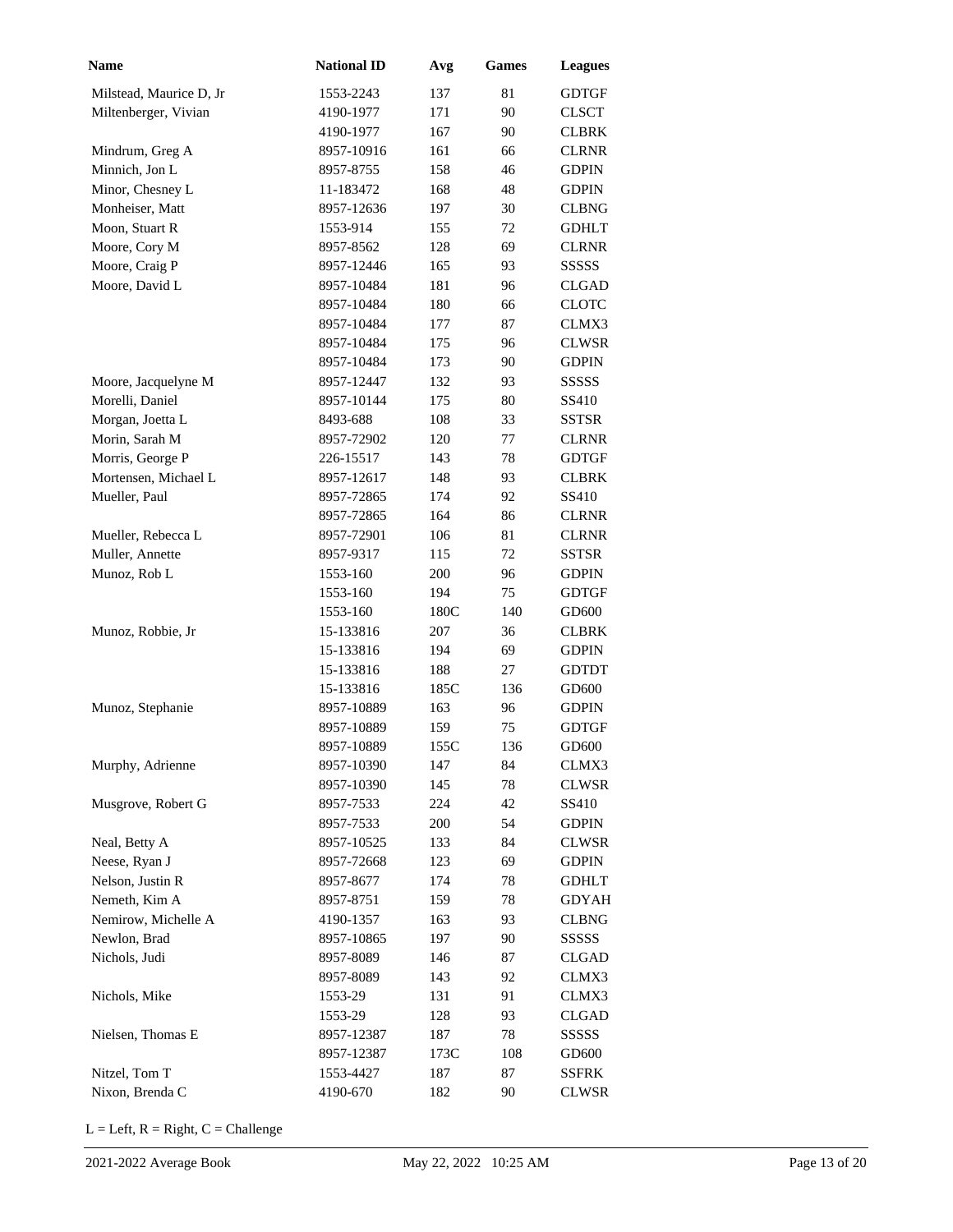| Name                    | <b>National ID</b> | Avg  | <b>Games</b> | <b>Leagues</b>    |
|-------------------------|--------------------|------|--------------|-------------------|
| Milstead, Maurice D, Jr | 1553-2243          | 137  | 81           | <b>GDTGF</b>      |
| Miltenberger, Vivian    | 4190-1977          | 171  | 90           | <b>CLSCT</b>      |
|                         | 4190-1977          | 167  | 90           | <b>CLBRK</b>      |
| Mindrum, Greg A         | 8957-10916         | 161  | 66           | <b>CLRNR</b>      |
| Minnich, Jon L          | 8957-8755          | 158  | 46           | <b>GDPIN</b>      |
| Minor, Chesney L        | 11-183472          | 168  | 48           | <b>GDPIN</b>      |
| Monheiser, Matt         | 8957-12636         | 197  | 30           | <b>CLBNG</b>      |
| Moon, Stuart R          | 1553-914           | 155  | 72           | <b>GDHLT</b>      |
| Moore, Cory M           | 8957-8562          | 128  | 69           | <b>CLRNR</b>      |
| Moore, Craig P          | 8957-12446         | 165  | 93           | SSSSS             |
| Moore, David L          | 8957-10484         | 181  | 96           | <b>CLGAD</b>      |
|                         | 8957-10484         | 180  | 66           | <b>CLOTC</b>      |
|                         | 8957-10484         | 177  | 87           | CLMX3             |
|                         | 8957-10484         | 175  | 96           | <b>CLWSR</b>      |
|                         | 8957-10484         | 173  | 90           | <b>GDPIN</b>      |
| Moore, Jacquelyne M     | 8957-12447         | 132  | 93           | <b>SSSSS</b>      |
| Morelli, Daniel         | 8957-10144         | 175  | 80           | SS410             |
| Morgan, Joetta L        | 8493-688           | 108  | 33           | <b>SSTSR</b>      |
| Morin, Sarah M          | 8957-72902         | 120  | 77           | <b>CLRNR</b>      |
| Morris, George P        | 226-15517          | 143  | 78           | <b>GDTGF</b>      |
| Mortensen, Michael L    | 8957-12617         | 148  | 93           | <b>CLBRK</b>      |
| Mueller, Paul           | 8957-72865         | 174  | 92           | SS410             |
|                         | 8957-72865         | 164  | 86           | <b>CLRNR</b>      |
| Mueller, Rebecca L      | 8957-72901         | 106  | 81           | <b>CLRNR</b>      |
| Muller, Annette         | 8957-9317          | 115  | 72           | <b>SSTSR</b>      |
| Munoz, Rob L            | 1553-160           | 200  | 96           | <b>GDPIN</b>      |
|                         | 1553-160           | 194  | 75           | <b>GDTGF</b>      |
|                         | 1553-160           | 180C | 140          | GD <sub>600</sub> |
| Munoz, Robbie, Jr       | 15-133816          | 207  | 36           | CLBRK             |
|                         | 15-133816          | 194  | 69           | <b>GDPIN</b>      |
|                         | 15-133816          | 188  | 27           | <b>GDTDT</b>      |
|                         | 15-133816          | 185C | 136          | GD600             |
| Munoz, Stephanie        | 8957-10889         | 163  | 96           | <b>GDPIN</b>      |
|                         | 8957-10889         | 159  | 75           | <b>GDTGF</b>      |
|                         | 8957-10889         | 155C | 136          | GD600             |
| Murphy, Adrienne        | 8957-10390         | 147  | 84           | CLMX3             |
|                         | 8957-10390         | 145  | 78           | <b>CLWSR</b>      |
| Musgrove, Robert G      | 8957-7533          | 224  | 42           | SS410             |
|                         | 8957-7533          | 200  | 54           | <b>GDPIN</b>      |
| Neal, Betty A           | 8957-10525         | 133  | 84           | <b>CLWSR</b>      |
| Neese, Ryan J           | 8957-72668         | 123  | 69           | <b>GDPIN</b>      |
| Nelson, Justin R        | 8957-8677          | 174  | 78           | <b>GDHLT</b>      |
| Nemeth, Kim A           | 8957-8751          | 159  | 78           | <b>GDYAH</b>      |
| Nemirow, Michelle A     | 4190-1357          | 163  | 93           | <b>CLBNG</b>      |
| Newlon, Brad            | 8957-10865         | 197  | 90           | SSSSS             |
| Nichols, Judi           | 8957-8089          | 146  | 87           | <b>CLGAD</b>      |
|                         | 8957-8089          | 143  | 92           | CLMX3             |
| Nichols, Mike           | 1553-29            | 131  | 91           | CLMX3             |
|                         | 1553-29            | 128  | 93           | <b>CLGAD</b>      |
| Nielsen, Thomas E       | 8957-12387         | 187  | 78           | SSSSS             |
|                         | 8957-12387         | 173C | 108          | GD600             |
| Nitzel, Tom T           | 1553-4427          | 187  | 87           | SSFRK             |
| Nixon, Brenda C         | 4190-670           | 182  | 90           | CLWSR             |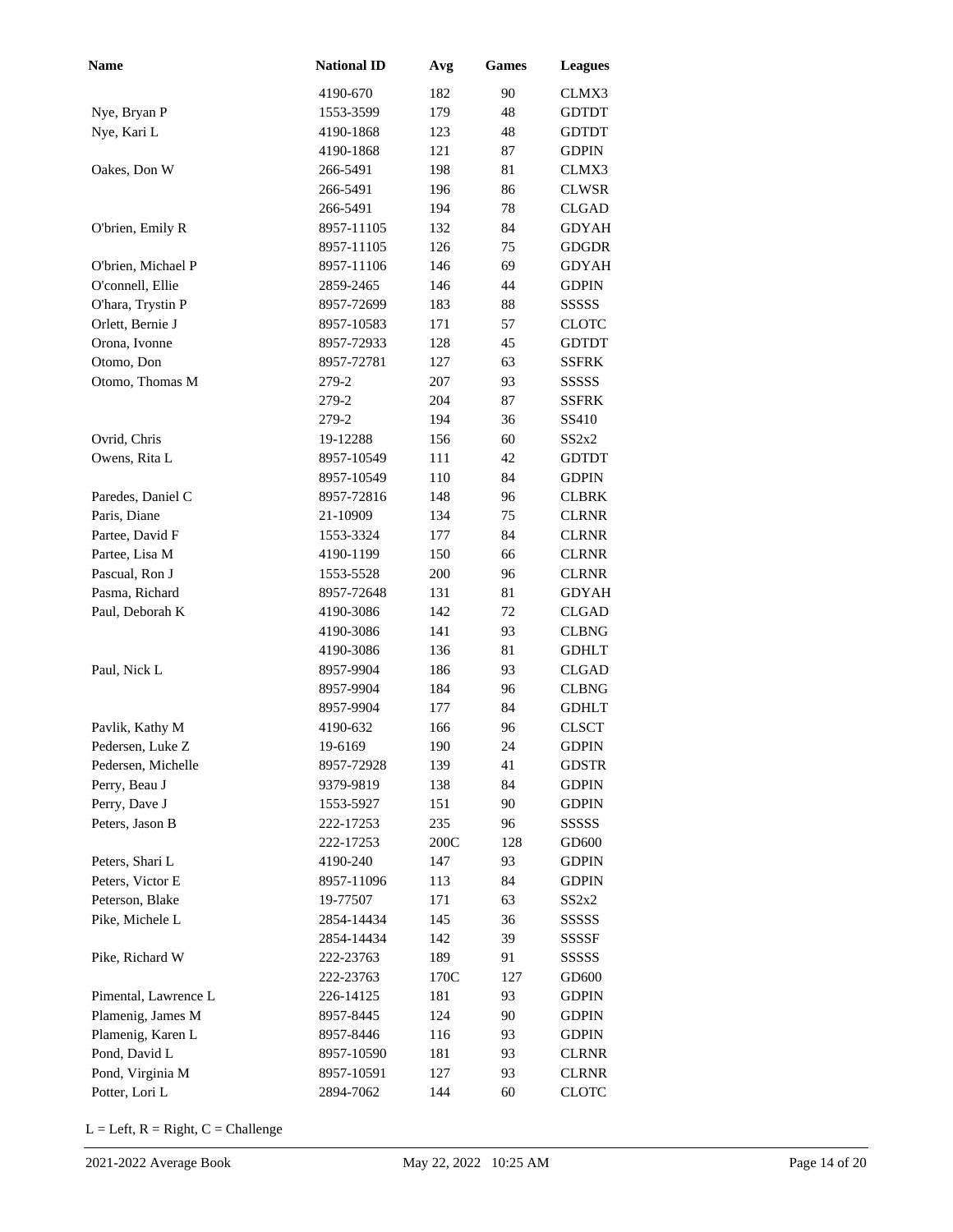| Name                 | <b>National ID</b> | Avg  | <b>Games</b> | <b>Leagues</b> |
|----------------------|--------------------|------|--------------|----------------|
|                      | 4190-670           | 182  | 90           | CLMX3          |
| Nye, Bryan P         | 1553-3599          | 179  | 48           | <b>GDTDT</b>   |
| Nye, Kari L          | 4190-1868          | 123  | 48           | <b>GDTDT</b>   |
|                      | 4190-1868          | 121  | 87           | <b>GDPIN</b>   |
| Oakes, Don W         | 266-5491           | 198  | 81           | CLMX3          |
|                      | 266-5491           | 196  | 86           | <b>CLWSR</b>   |
|                      | 266-5491           | 194  | 78           | <b>CLGAD</b>   |
| O'brien, Emily R     | 8957-11105         | 132  | 84           | <b>GDYAH</b>   |
|                      | 8957-11105         | 126  | 75           | <b>GDGDR</b>   |
| O'brien, Michael P   | 8957-11106         | 146  | 69           | <b>GDYAH</b>   |
| O'connell, Ellie     | 2859-2465          | 146  | 44           | <b>GDPIN</b>   |
| O'hara, Trystin P    | 8957-72699         | 183  | 88           | SSSSS          |
| Orlett, Bernie J     | 8957-10583         | 171  | 57           | <b>CLOTC</b>   |
| Orona, Ivonne        | 8957-72933         | 128  | 45           | <b>GDTDT</b>   |
| Otomo, Don           | 8957-72781         | 127  | 63           | SSFRK          |
| Otomo, Thomas M      | 279-2              | 207  | 93           | <b>SSSSS</b>   |
|                      | 279-2              | 204  | 87           | <b>SSFRK</b>   |
|                      | 279-2              | 194  | 36           | SS410          |
| Ovrid, Chris         | 19-12288           | 156  | 60           | SS2x2          |
| Owens, Rita L        | 8957-10549         | 111  | 42           | <b>GDTDT</b>   |
|                      | 8957-10549         | 110  | 84           | <b>GDPIN</b>   |
| Paredes, Daniel C    | 8957-72816         | 148  | 96           | <b>CLBRK</b>   |
| Paris, Diane         | 21-10909           | 134  | 75           | <b>CLRNR</b>   |
| Partee, David F      | 1553-3324          | 177  | 84           | <b>CLRNR</b>   |
| Partee, Lisa M       | 4190-1199          | 150  | 66           | <b>CLRNR</b>   |
| Pascual, Ron J       | 1553-5528          | 200  | 96           | <b>CLRNR</b>   |
| Pasma, Richard       | 8957-72648         | 131  | 81           | <b>GDYAH</b>   |
| Paul, Deborah K      | 4190-3086          | 142  | 72           | <b>CLGAD</b>   |
|                      | 4190-3086          | 141  | 93           | <b>CLBNG</b>   |
|                      | 4190-3086          | 136  | 81           | <b>GDHLT</b>   |
| Paul, Nick L         | 8957-9904          | 186  | 93           | <b>CLGAD</b>   |
|                      | 8957-9904          | 184  | 96           | <b>CLBNG</b>   |
|                      | 8957-9904          | 177  | 84           | <b>GDHLT</b>   |
| Pavlik, Kathy M      | 4190-632           | 166  | 96           | <b>CLSCT</b>   |
| Pedersen, Luke Z     | 19-6169            | 190  | 24           | <b>GDPIN</b>   |
| Pedersen, Michelle   | 8957-72928         | 139  | 41           | <b>GDSTR</b>   |
| Perry, Beau J        | 9379-9819          | 138  | 84           | <b>GDPIN</b>   |
| Perry, Dave J        | 1553-5927          | 151  | 90           | <b>GDPIN</b>   |
| Peters, Jason B      | 222-17253          | 235  | 96           | SSSSS          |
|                      | 222-17253          | 200C | 128          | GD600          |
| Peters, Shari L      | 4190-240           | 147  | 93           | <b>GDPIN</b>   |
| Peters, Victor E     | 8957-11096         | 113  | 84           | <b>GDPIN</b>   |
| Peterson, Blake      | 19-77507           | 171  | 63           | SS2x2          |
| Pike, Michele L      | 2854-14434         | 145  | 36           | SSSSS          |
|                      | 2854-14434         | 142  | 39           | SSSSF          |
| Pike, Richard W      | 222-23763          | 189  | 91           | SSSSS          |
|                      | 222-23763          | 170C | 127          | GD600          |
| Pimental, Lawrence L | 226-14125          | 181  | 93           | <b>GDPIN</b>   |
| Plamenig, James M    | 8957-8445          | 124  | 90           | <b>GDPIN</b>   |
| Plamenig, Karen L    | 8957-8446          | 116  | 93           | <b>GDPIN</b>   |
| Pond, David L        | 8957-10590         | 181  | 93           | <b>CLRNR</b>   |
| Pond, Virginia M     | 8957-10591         | 127  | 93           | <b>CLRNR</b>   |
| Potter, Lori L       | 2894-7062          | 144  | 60           | <b>CLOTC</b>   |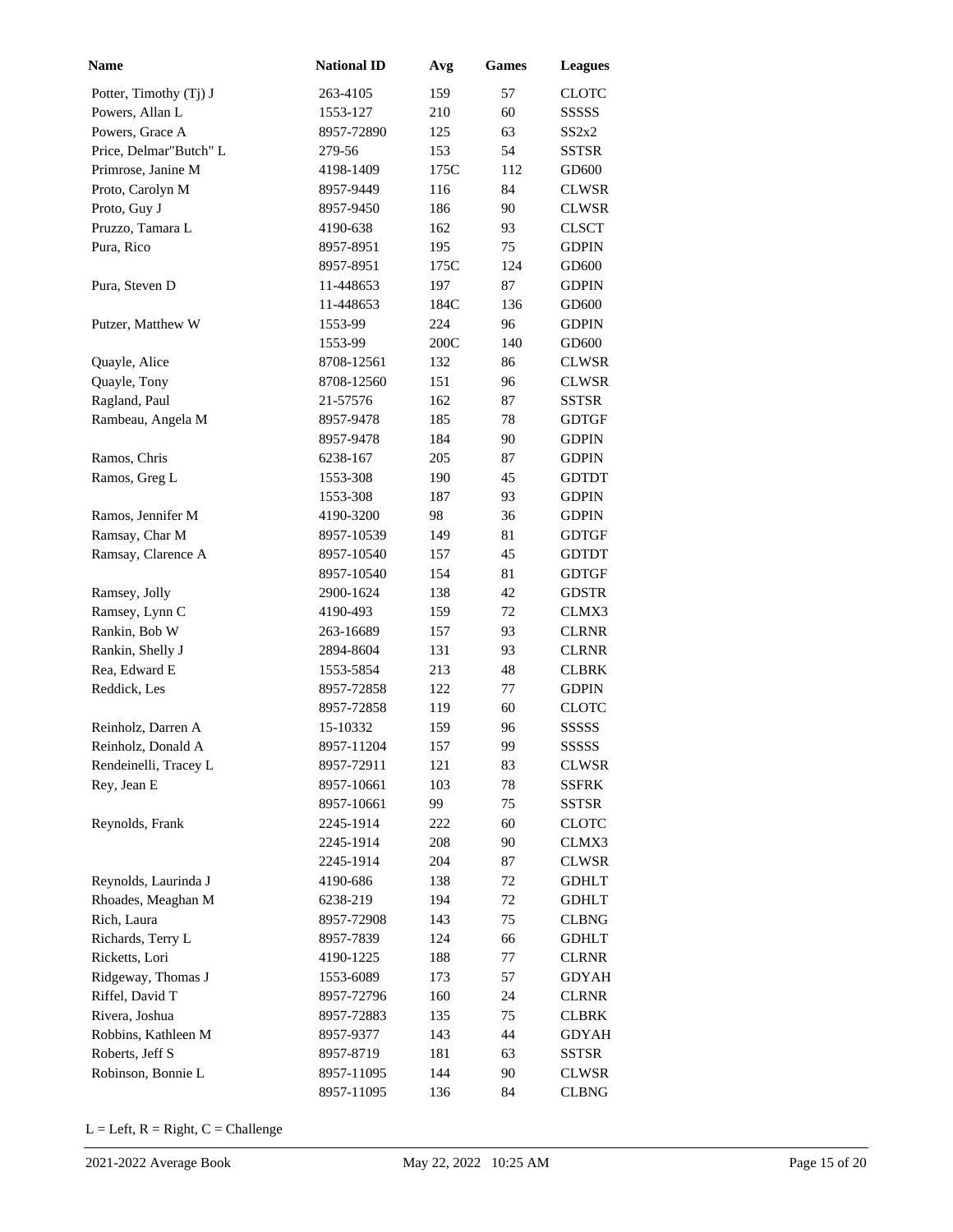| <b>Name</b>            | <b>National ID</b> | Avg  | <b>Games</b> | <b>Leagues</b> |
|------------------------|--------------------|------|--------------|----------------|
| Potter, Timothy (Tj) J | 263-4105           | 159  | 57           | <b>CLOTC</b>   |
| Powers, Allan L        | 1553-127           | 210  | 60           | SSSSS          |
| Powers, Grace A        | 8957-72890         | 125  | 63           | SS2x2          |
| Price, Delmar"Butch" L | 279-56             | 153  | 54           | SSTSR          |
| Primrose, Janine M     | 4198-1409          | 175C | 112          | GD600          |
| Proto, Carolyn M       | 8957-9449          | 116  | 84           | <b>CLWSR</b>   |
| Proto, Guy J           | 8957-9450          | 186  | 90           | <b>CLWSR</b>   |
| Pruzzo, Tamara L       | 4190-638           | 162  | 93           | <b>CLSCT</b>   |
| Pura, Rico             | 8957-8951          | 195  | 75           | <b>GDPIN</b>   |
|                        | 8957-8951          | 175C | 124          | GD600          |
| Pura, Steven D         | 11-448653          | 197  | 87           | <b>GDPIN</b>   |
|                        | 11-448653          | 184C | 136          | GD600          |
| Putzer, Matthew W      | 1553-99            | 224  | 96           | <b>GDPIN</b>   |
|                        | 1553-99            | 200C | 140          | GD600          |
| Quayle, Alice          | 8708-12561         | 132  | 86           | <b>CLWSR</b>   |
| Quayle, Tony           | 8708-12560         | 151  | 96           | <b>CLWSR</b>   |
| Ragland, Paul          | 21-57576           | 162  | 87           | <b>SSTSR</b>   |
| Rambeau, Angela M      | 8957-9478          | 185  | 78           | <b>GDTGF</b>   |
|                        | 8957-9478          | 184  | 90           | <b>GDPIN</b>   |
| Ramos, Chris           | 6238-167           | 205  | 87           | <b>GDPIN</b>   |
| Ramos, Greg L          | 1553-308           | 190  | 45           | <b>GDTDT</b>   |
|                        | 1553-308           | 187  | 93           | <b>GDPIN</b>   |
| Ramos, Jennifer M      | 4190-3200          | 98   | 36           | <b>GDPIN</b>   |
| Ramsay, Char M         | 8957-10539         | 149  | 81           | <b>GDTGF</b>   |
| Ramsay, Clarence A     | 8957-10540         | 157  | 45           | <b>GDTDT</b>   |
|                        | 8957-10540         | 154  | 81           | <b>GDTGF</b>   |
| Ramsey, Jolly          | 2900-1624          | 138  | 42           | <b>GDSTR</b>   |
| Ramsey, Lynn C         | 4190-493           | 159  | 72           | CLMX3          |
| Rankin, Bob W          | 263-16689          | 157  | 93           | <b>CLRNR</b>   |
| Rankin, Shelly J       | 2894-8604          | 131  | 93           | <b>CLRNR</b>   |
| Rea, Edward E          | 1553-5854          | 213  | 48           | <b>CLBRK</b>   |
| Reddick, Les           | 8957-72858         | 122  | 77           | <b>GDPIN</b>   |
|                        | 8957-72858         | 119  | 60           | <b>CLOTC</b>   |
| Reinholz, Darren A     | 15-10332           | 159  | 96           | SSSSS          |
| Reinholz, Donald A     | 8957-11204         | 157  | 99           | SSSSS          |
| Rendeinelli, Tracey L  | 8957-72911         | 121  | 83           | <b>CLWSR</b>   |
| Rey, Jean E            | 8957-10661         | 103  | 78           | <b>SSFRK</b>   |
|                        | 8957-10661         | 99   | 75           | SSTSR          |
| Reynolds, Frank        | 2245-1914          | 222  | 60           | CLOTC          |
|                        | 2245-1914          | 208  | 90           | CLMX3          |
|                        | 2245-1914          | 204  | 87           | <b>CLWSR</b>   |
| Reynolds, Laurinda J   | 4190-686           | 138  | 72           | <b>GDHLT</b>   |
| Rhoades, Meaghan M     | 6238-219           | 194  | 72           | <b>GDHLT</b>   |
| Rich, Laura            | 8957-72908         | 143  | 75           | <b>CLBNG</b>   |
| Richards, Terry L      | 8957-7839          | 124  | 66           | <b>GDHLT</b>   |
| Ricketts, Lori         | 4190-1225          | 188  | 77           | <b>CLRNR</b>   |
| Ridgeway, Thomas J     | 1553-6089          | 173  | 57           | <b>GDYAH</b>   |
| Riffel, David T        | 8957-72796         | 160  | 24           | <b>CLRNR</b>   |
| Rivera, Joshua         | 8957-72883         | 135  | 75           | <b>CLBRK</b>   |
| Robbins, Kathleen M    | 8957-9377          | 143  | 44           | <b>GDYAH</b>   |
| Roberts, Jeff S        | 8957-8719          | 181  | 63           | SSTSR          |
| Robinson, Bonnie L     | 8957-11095         | 144  | 90           | <b>CLWSR</b>   |
|                        | 8957-11095         | 136  | 84           | <b>CLBNG</b>   |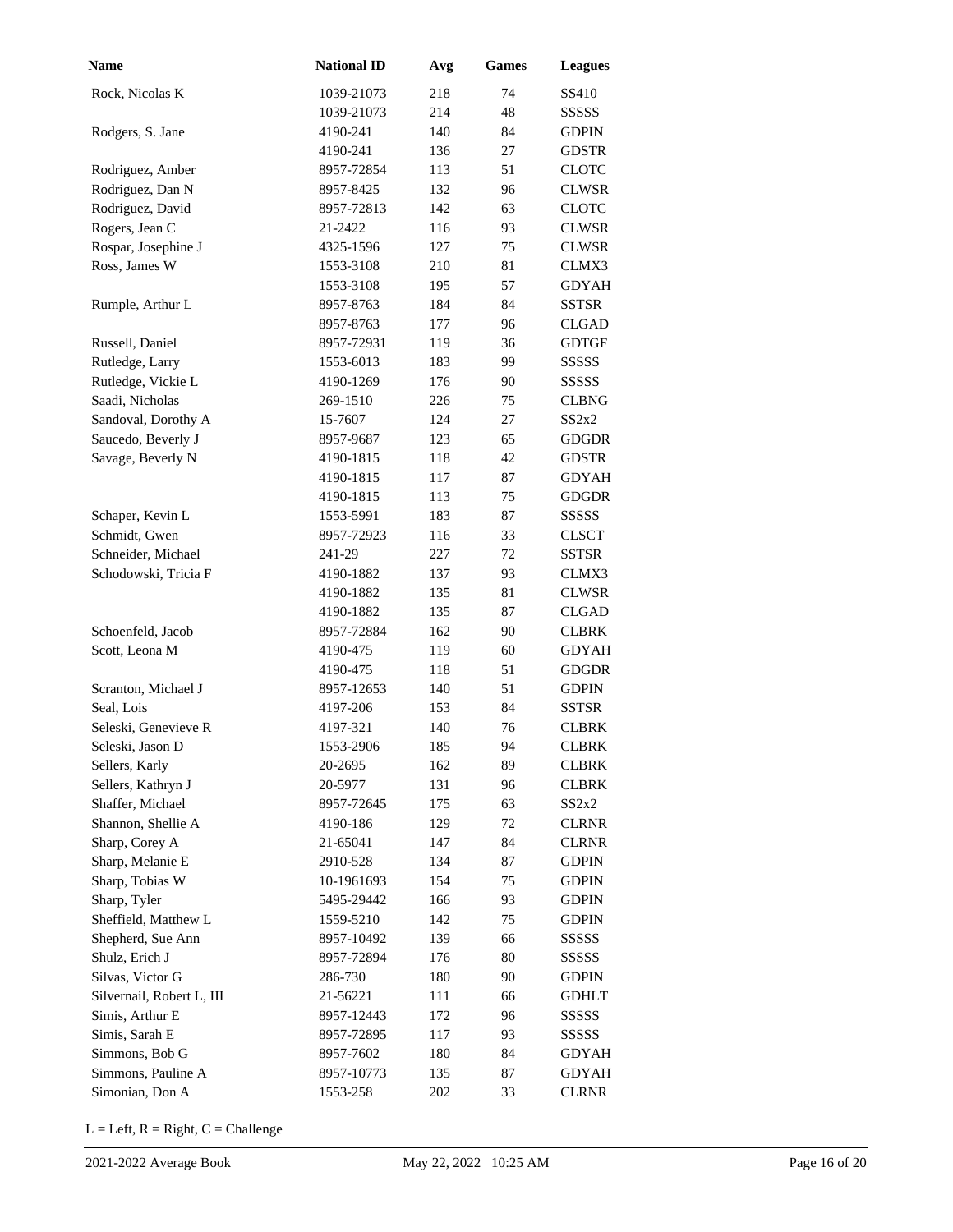| <b>Name</b>               | <b>National ID</b> | Avg | <b>Games</b> | <b>Leagues</b> |
|---------------------------|--------------------|-----|--------------|----------------|
| Rock, Nicolas K           | 1039-21073         | 218 | 74           | SS410          |
|                           | 1039-21073         | 214 | 48           | SSSSS          |
| Rodgers, S. Jane          | 4190-241           | 140 | 84           | <b>GDPIN</b>   |
|                           | 4190-241           | 136 | 27           | <b>GDSTR</b>   |
| Rodriguez, Amber          | 8957-72854         | 113 | 51           | <b>CLOTC</b>   |
| Rodriguez, Dan N          | 8957-8425          | 132 | 96           | <b>CLWSR</b>   |
| Rodriguez, David          | 8957-72813         | 142 | 63           | <b>CLOTC</b>   |
| Rogers, Jean C            | 21-2422            | 116 | 93           | <b>CLWSR</b>   |
| Rospar, Josephine J       | 4325-1596          | 127 | 75           | <b>CLWSR</b>   |
| Ross, James W             | 1553-3108          | 210 | 81           | CLMX3          |
|                           | 1553-3108          | 195 | 57           | <b>GDYAH</b>   |
| Rumple, Arthur L          | 8957-8763          | 184 | 84           | <b>SSTSR</b>   |
|                           | 8957-8763          | 177 | 96           | <b>CLGAD</b>   |
| Russell, Daniel           | 8957-72931         | 119 | 36           | <b>GDTGF</b>   |
| Rutledge, Larry           | 1553-6013          | 183 | 99           | SSSSS          |
| Rutledge, Vickie L        | 4190-1269          | 176 | 90           | <b>SSSSS</b>   |
| Saadi, Nicholas           | 269-1510           | 226 | 75           | <b>CLBNG</b>   |
| Sandoval, Dorothy A       | 15-7607            | 124 | 27           | SS2x2          |
| Saucedo, Beverly J        | 8957-9687          | 123 | 65           | <b>GDGDR</b>   |
| Savage, Beverly N         | 4190-1815          | 118 | 42           | <b>GDSTR</b>   |
|                           | 4190-1815          | 117 | 87           | <b>GDYAH</b>   |
|                           | 4190-1815          | 113 | 75           | <b>GDGDR</b>   |
| Schaper, Kevin L          | 1553-5991          | 183 | 87           | <b>SSSSS</b>   |
| Schmidt, Gwen             | 8957-72923         | 116 | 33           | <b>CLSCT</b>   |
| Schneider, Michael        | 241-29             | 227 | 72           | <b>SSTSR</b>   |
| Schodowski, Tricia F      | 4190-1882          | 137 | 93           | CLMX3          |
|                           | 4190-1882          | 135 | 81           | <b>CLWSR</b>   |
|                           | 4190-1882          | 135 | 87           | <b>CLGAD</b>   |
| Schoenfeld, Jacob         | 8957-72884         | 162 | 90           | <b>CLBRK</b>   |
| Scott, Leona M            | 4190-475           | 119 | 60           | <b>GDYAH</b>   |
|                           | 4190-475           | 118 | 51           | <b>GDGDR</b>   |
| Scranton, Michael J       | 8957-12653         | 140 | 51           | <b>GDPIN</b>   |
| Seal, Lois                | 4197-206           | 153 | 84           | <b>SSTSR</b>   |
| Seleski, Genevieve R      | 4197-321           | 140 | 76           | <b>CLBRK</b>   |
| Seleski, Jason D          | 1553-2906          | 185 | 94           | <b>CLBRK</b>   |
| Sellers, Karly            | 20-2695            | 162 | 89           | <b>CLBRK</b>   |
| Sellers, Kathryn J        | 20-5977            | 131 | 96           | <b>CLBRK</b>   |
| Shaffer, Michael          | 8957-72645         | 175 | 63           | SS2x2          |
| Shannon, Shellie A        | 4190-186           | 129 | 72           | <b>CLRNR</b>   |
| Sharp, Corey A            | 21-65041           | 147 | 84           | <b>CLRNR</b>   |
| Sharp, Melanie E          | 2910-528           | 134 | 87           | <b>GDPIN</b>   |
| Sharp, Tobias W           | 10-1961693         | 154 | 75           | <b>GDPIN</b>   |
| Sharp, Tyler              | 5495-29442         | 166 | 93           | <b>GDPIN</b>   |
| Sheffield, Matthew L      | 1559-5210          | 142 | 75           | <b>GDPIN</b>   |
| Shepherd, Sue Ann         | 8957-10492         | 139 | 66           | SSSSS          |
| Shulz, Erich J            | 8957-72894         | 176 | 80           | SSSSS          |
| Silvas, Victor G          | 286-730            | 180 | 90           | <b>GDPIN</b>   |
| Silvernail, Robert L, III | 21-56221           | 111 | 66           | <b>GDHLT</b>   |
| Simis, Arthur E           | 8957-12443         | 172 | 96           | SSSSS          |
| Simis, Sarah E            | 8957-72895         | 117 | 93           | SSSSS          |
| Simmons, Bob G            | 8957-7602          | 180 | 84           | <b>GDYAH</b>   |
| Simmons, Pauline A        | 8957-10773         | 135 | 87           | <b>GDYAH</b>   |
| Simonian, Don A           | 1553-258           | 202 | 33           | <b>CLRNR</b>   |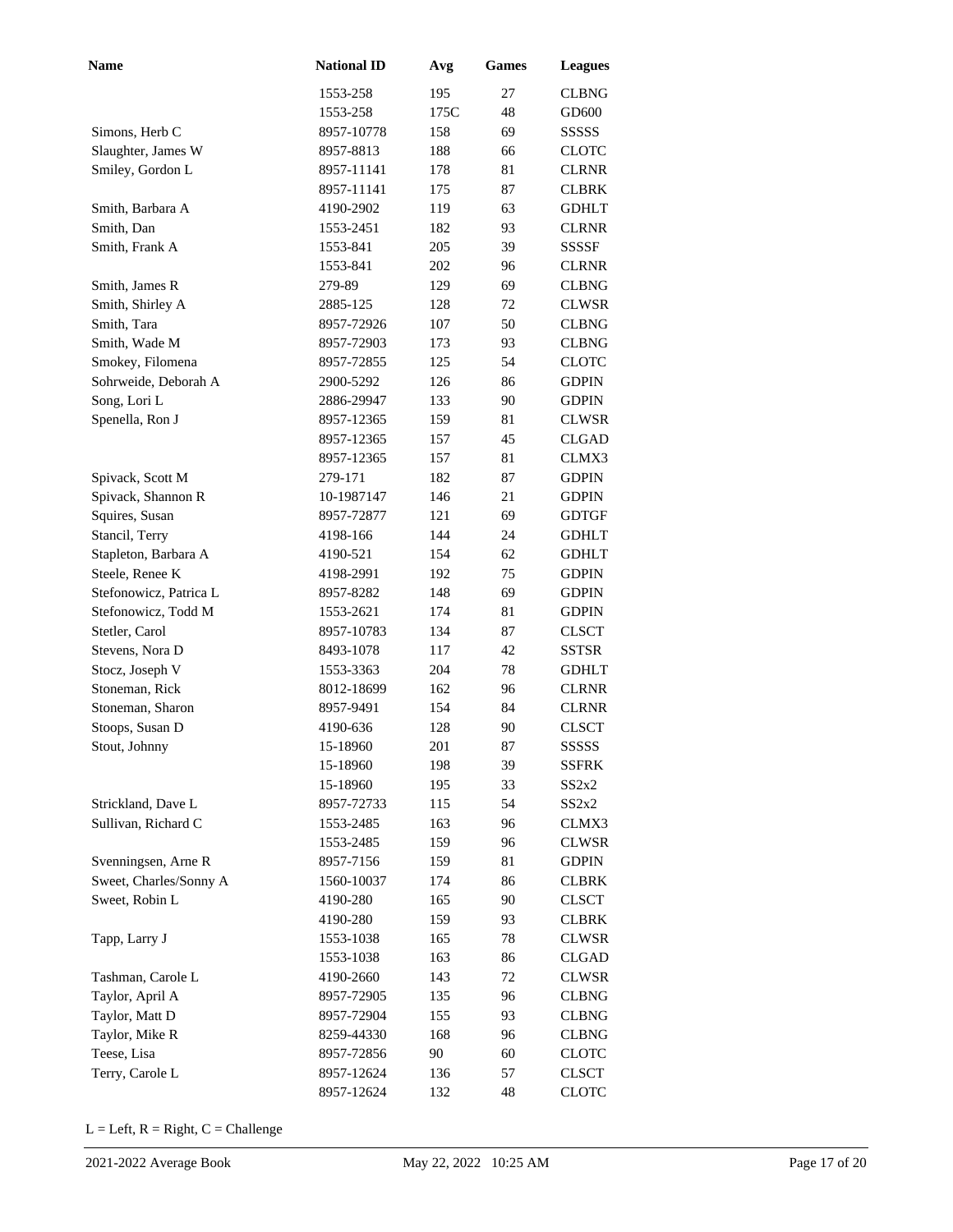| <b>Name</b>            | <b>National ID</b> | Avg  | <b>Games</b> | <b>Leagues</b>    |
|------------------------|--------------------|------|--------------|-------------------|
|                        | 1553-258           | 195  | 27           | <b>CLBNG</b>      |
|                        | 1553-258           | 175C | 48           | GD <sub>600</sub> |
| Simons, Herb C         | 8957-10778         | 158  | 69           | SSSSS             |
| Slaughter, James W     | 8957-8813          | 188  | 66           | <b>CLOTC</b>      |
| Smiley, Gordon L       | 8957-11141         | 178  | 81           | <b>CLRNR</b>      |
|                        | 8957-11141         | 175  | 87           | <b>CLBRK</b>      |
| Smith, Barbara A       | 4190-2902          | 119  | 63           | <b>GDHLT</b>      |
| Smith. Dan             | 1553-2451          | 182  | 93           | <b>CLRNR</b>      |
| Smith, Frank A         | 1553-841           | 205  | 39           | <b>SSSSF</b>      |
|                        | 1553-841           | 202  | 96           | <b>CLRNR</b>      |
| Smith, James R         | 279-89             | 129  | 69           | <b>CLBNG</b>      |
| Smith, Shirley A       | 2885-125           | 128  | 72           | <b>CLWSR</b>      |
| Smith, Tara            | 8957-72926         | 107  | 50           | <b>CLBNG</b>      |
| Smith, Wade M          | 8957-72903         | 173  | 93           | <b>CLBNG</b>      |
| Smokey, Filomena       | 8957-72855         | 125  | 54           | <b>CLOTC</b>      |
| Sohrweide, Deborah A   | 2900-5292          | 126  | 86           | <b>GDPIN</b>      |
| Song, Lori L           | 2886-29947         | 133  | 90           | <b>GDPIN</b>      |
| Spenella, Ron J        | 8957-12365         | 159  | 81           | <b>CLWSR</b>      |
|                        | 8957-12365         | 157  | 45           | <b>CLGAD</b>      |
|                        | 8957-12365         | 157  | 81           | CLMX3             |
| Spivack, Scott M       | 279-171            | 182  | 87           | <b>GDPIN</b>      |
| Spivack, Shannon R     | 10-1987147         | 146  | 21           | <b>GDPIN</b>      |
| Squires, Susan         | 8957-72877         | 121  | 69           | <b>GDTGF</b>      |
| Stancil, Terry         | 4198-166           | 144  | 24           | <b>GDHLT</b>      |
| Stapleton, Barbara A   | 4190-521           | 154  | 62           | <b>GDHLT</b>      |
| Steele, Renee K        | 4198-2991          | 192  | 75           | <b>GDPIN</b>      |
| Stefonowicz, Patrica L | 8957-8282          | 148  | 69           | <b>GDPIN</b>      |
| Stefonowicz, Todd M    | 1553-2621          | 174  | 81           | <b>GDPIN</b>      |
| Stetler, Carol         | 8957-10783         | 134  | 87           | <b>CLSCT</b>      |
| Stevens, Nora D        | 8493-1078          | 117  | 42           | <b>SSTSR</b>      |
| Stocz, Joseph V        | 1553-3363          | 204  | 78           | <b>GDHLT</b>      |
| Stoneman, Rick         | 8012-18699         | 162  | 96           | <b>CLRNR</b>      |
| Stoneman, Sharon       | 8957-9491          | 154  | 84           | <b>CLRNR</b>      |
| Stoops, Susan D        | 4190-636           | 128  | 90           | <b>CLSCT</b>      |
| Stout, Johnny          | 15-18960           | 201  | 87           | <b>SSSSS</b>      |
|                        | 15-18960           | 198  | 39           | <b>SSFRK</b>      |
|                        | 15-18960           | 195  | 33           | SS2x2             |
| Strickland, Dave L     | 8957-72733         | 115  | 54           | SS2x2             |
| Sullivan, Richard C    | 1553-2485          | 163  | 96           | CLMX3             |
|                        | 1553-2485          | 159  | 96           | <b>CLWSR</b>      |
| Svenningsen, Arne R    | 8957-7156          | 159  | 81           | <b>GDPIN</b>      |
| Sweet, Charles/Sonny A | 1560-10037         | 174  | 86           | <b>CLBRK</b>      |
| Sweet, Robin L         | 4190-280           | 165  | 90           | <b>CLSCT</b>      |
|                        | 4190-280           | 159  | 93           | <b>CLBRK</b>      |
| Tapp, Larry J          | 1553-1038          | 165  | 78           | <b>CLWSR</b>      |
|                        | 1553-1038          | 163  | 86           | CLGAD             |
| Tashman, Carole L      | 4190-2660          | 143  | 72           | <b>CLWSR</b>      |
| Taylor, April A        | 8957-72905         | 135  | 96           | <b>CLBNG</b>      |
| Taylor, Matt D         | 8957-72904         | 155  | 93           | <b>CLBNG</b>      |
| Taylor, Mike R         | 8259-44330         | 168  | 96           | <b>CLBNG</b>      |
| Teese, Lisa            | 8957-72856         | 90   | 60           | <b>CLOTC</b>      |
| Terry, Carole L        | 8957-12624         | 136  | 57           | CLSCT             |
|                        | 8957-12624         | 132  | 48           | <b>CLOTC</b>      |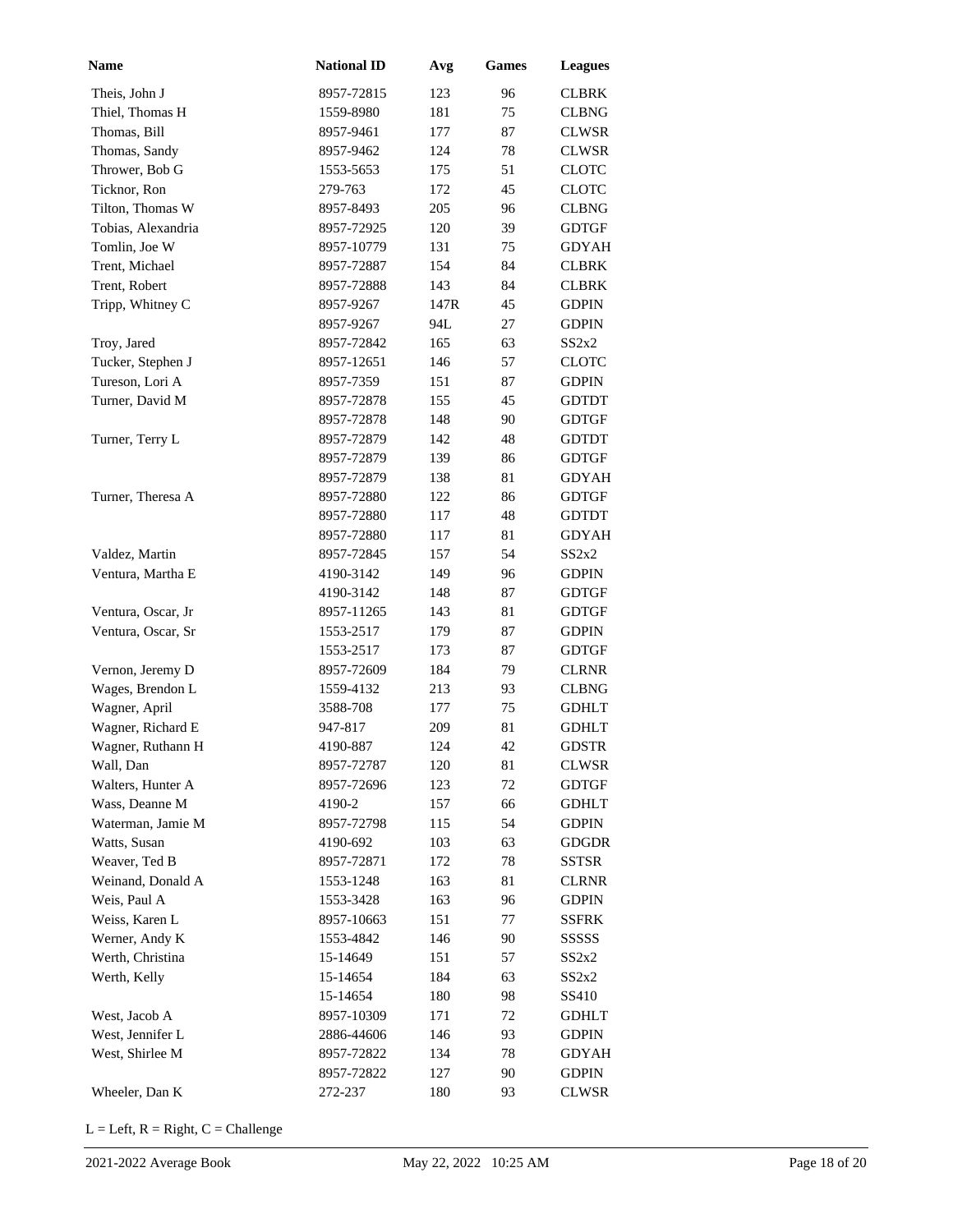| <b>Name</b>        | <b>National ID</b> | Avg  | Games    | <b>Leagues</b> |
|--------------------|--------------------|------|----------|----------------|
| Theis, John J      | 8957-72815         | 123  | 96       | CLBRK          |
| Thiel, Thomas H    | 1559-8980          | 181  | 75       | <b>CLBNG</b>   |
| Thomas, Bill       | 8957-9461          | 177  | 87       | CLWSR          |
| Thomas, Sandy      | 8957-9462          | 124  | 78       | <b>CLWSR</b>   |
| Thrower, Bob G     | 1553-5653          | 175  | 51       | <b>CLOTC</b>   |
| Ticknor, Ron       | 279-763            | 172  | 45       | <b>CLOTC</b>   |
| Tilton, Thomas W   | 8957-8493          | 205  | 96       | <b>CLBNG</b>   |
| Tobias, Alexandria | 8957-72925         | 120  | 39       | <b>GDTGF</b>   |
| Tomlin, Joe W      | 8957-10779         | 131  | 75       | <b>GDYAH</b>   |
| Trent, Michael     | 8957-72887         | 154  | 84       | <b>CLBRK</b>   |
| Trent, Robert      | 8957-72888         | 143  | 84       | <b>CLBRK</b>   |
| Tripp, Whitney C   | 8957-9267          | 147R | 45       | <b>GDPIN</b>   |
|                    | 8957-9267          | 94L  | 27       | <b>GDPIN</b>   |
| Troy, Jared        | 8957-72842         | 165  | 63       | SS2x2          |
| Tucker, Stephen J  | 8957-12651         | 146  | 57       | <b>CLOTC</b>   |
| Tureson, Lori A    | 8957-7359          | 151  | 87       | <b>GDPIN</b>   |
| Turner, David M    | 8957-72878         | 155  | 45       | <b>GDTDT</b>   |
|                    | 8957-72878         | 148  | 90       | <b>GDTGF</b>   |
| Turner, Terry L    | 8957-72879         | 142  | 48       | <b>GDTDT</b>   |
|                    | 8957-72879         | 139  | 86       | <b>GDTGF</b>   |
|                    | 8957-72879         | 138  | 81       | <b>GDYAH</b>   |
| Turner, Theresa A  | 8957-72880         | 122  | 86       | <b>GDTGF</b>   |
|                    | 8957-72880         | 117  | 48       | <b>GDTDT</b>   |
|                    | 8957-72880         | 117  | 81       | <b>GDYAH</b>   |
| Valdez, Martin     | 8957-72845         | 157  | 54       | SS2x2          |
| Ventura, Martha E  | 4190-3142          | 149  | 96       | <b>GDPIN</b>   |
|                    | 4190-3142          | 148  | 87       | <b>GDTGF</b>   |
| Ventura, Oscar, Jr | 8957-11265         | 143  | 81       | <b>GDTGF</b>   |
| Ventura, Oscar, Sr | 1553-2517          | 179  | 87       | <b>GDPIN</b>   |
|                    | 1553-2517          | 173  | 87       | <b>GDTGF</b>   |
| Vernon, Jeremy D   | 8957-72609         | 184  | 79       | <b>CLRNR</b>   |
| Wages, Brendon L   | 1559-4132          | 213  | 93       | <b>CLBNG</b>   |
| Wagner, April      | 3588-708           | 177  | 75       | <b>GDHLT</b>   |
| Wagner, Richard E  | 947-817            | 209  | 81       | <b>GDHLT</b>   |
| Wagner, Ruthann H  | 4190-887           | 124  | 42       | <b>GDSTR</b>   |
| Wall, Dan          | 8957-72787         | 120  | 81       | <b>CLWSR</b>   |
| Walters, Hunter A  | 8957-72696         | 123  | 72       | <b>GDTGF</b>   |
| Wass, Deanne M     | 4190-2             | 157  | 66       | <b>GDHLT</b>   |
| Waterman, Jamie M  | 8957-72798         | 115  | 54       | <b>GDPIN</b>   |
| Watts, Susan       | 4190-692           | 103  | 63       | <b>GDGDR</b>   |
| Weaver, Ted B      | 8957-72871         | 172  | 78       | <b>SSTSR</b>   |
| Weinand, Donald A  | 1553-1248          | 163  | 81       | <b>CLRNR</b>   |
| Weis, Paul A       | 1553-3428          | 163  | 96       | <b>GDPIN</b>   |
| Weiss, Karen L     | 8957-10663         | 151  | 77       | <b>SSFRK</b>   |
| Werner, Andy K     | 1553-4842          | 146  | 90       | SSSSS          |
| Werth, Christina   | 15-14649           | 151  | 57       | SS2x2          |
| Werth, Kelly       | 15-14654           | 184  | 63       | SS2x2          |
|                    | 15-14654           | 180  | 98       | SS410          |
| West, Jacob A      | 8957-10309         | 171  | 72       | <b>GDHLT</b>   |
| West, Jennifer L   | 2886-44606         | 146  | 93       | <b>GDPIN</b>   |
| West, Shirlee M    | 8957-72822         | 134  | 78       | <b>GDYAH</b>   |
| Wheeler, Dan K     | 8957-72822         | 127  | 90<br>93 | <b>GDPIN</b>   |
|                    | 272-237            | 180  |          | <b>CLWSR</b>   |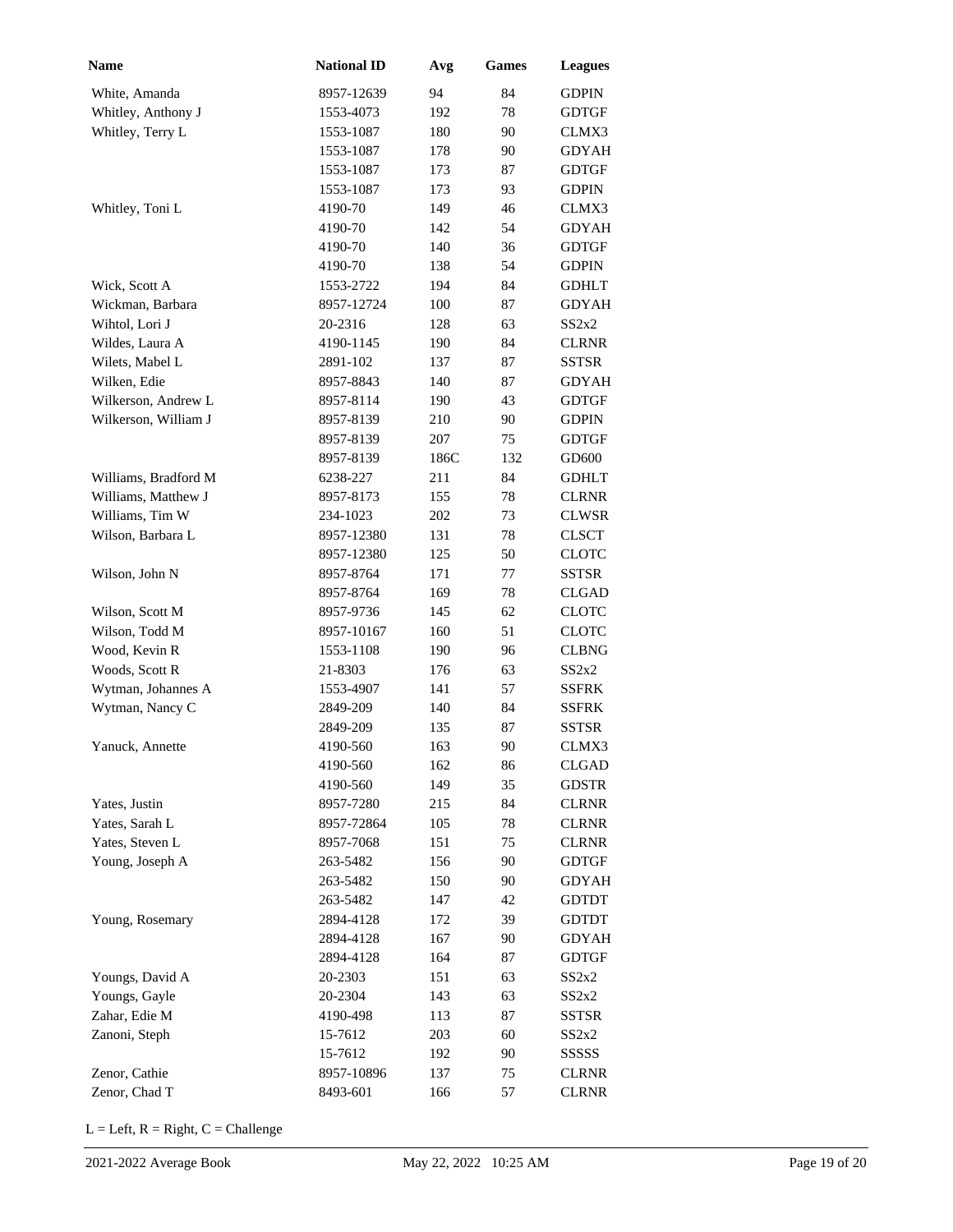| Name                 | <b>National ID</b> | Avg  | <b>Games</b> | <b>Leagues</b> |
|----------------------|--------------------|------|--------------|----------------|
| White, Amanda        | 8957-12639         | 94   | 84           | <b>GDPIN</b>   |
| Whitley, Anthony J   | 1553-4073          | 192  | 78           | <b>GDTGF</b>   |
| Whitley, Terry L     | 1553-1087          | 180  | 90           | CLMX3          |
|                      | 1553-1087          | 178  | 90           | GDYAH          |
|                      | 1553-1087          | 173  | 87           | <b>GDTGF</b>   |
|                      | 1553-1087          | 173  | 93           | <b>GDPIN</b>   |
| Whitley, Toni L      | 4190-70            | 149  | 46           | CLMX3          |
|                      | 4190-70            | 142  | 54           | <b>GDYAH</b>   |
|                      | 4190-70            | 140  | 36           | <b>GDTGF</b>   |
|                      | 4190-70            | 138  | 54           | <b>GDPIN</b>   |
| Wick, Scott A        | 1553-2722          | 194  | 84           | <b>GDHLT</b>   |
| Wickman, Barbara     | 8957-12724         | 100  | 87           | <b>GDYAH</b>   |
| Wihtol, Lori J       | 20-2316            | 128  | 63           | SS2x2          |
| Wildes, Laura A      | 4190-1145          | 190  | 84           | <b>CLRNR</b>   |
| Wilets, Mabel L      | 2891-102           | 137  | 87           | <b>SSTSR</b>   |
| Wilken, Edie         | 8957-8843          | 140  | 87           | GDYAH          |
| Wilkerson, Andrew L  | 8957-8114          | 190  | 43           | <b>GDTGF</b>   |
| Wilkerson, William J | 8957-8139          | 210  | 90           | <b>GDPIN</b>   |
|                      | 8957-8139          | 207  | 75           | <b>GDTGF</b>   |
|                      | 8957-8139          | 186C | 132          | GD600          |
| Williams, Bradford M | 6238-227           | 211  | 84           | <b>GDHLT</b>   |
| Williams, Matthew J  | 8957-8173          | 155  | 78           | <b>CLRNR</b>   |
| Williams, Tim W      | 234-1023           | 202  | 73           | <b>CLWSR</b>   |
| Wilson, Barbara L    | 8957-12380         | 131  | 78           | <b>CLSCT</b>   |
|                      | 8957-12380         | 125  | 50           | <b>CLOTC</b>   |
| Wilson, John N       | 8957-8764          | 171  | 77           | <b>SSTSR</b>   |
|                      | 8957-8764          | 169  | 78           | <b>CLGAD</b>   |
| Wilson, Scott M      | 8957-9736          | 145  | 62           | <b>CLOTC</b>   |
| Wilson, Todd M       | 8957-10167         | 160  | 51           | <b>CLOTC</b>   |
| Wood, Kevin R        | 1553-1108          | 190  | 96           | <b>CLBNG</b>   |
| Woods, Scott R       | 21-8303            | 176  | 63           | SS2x2          |
| Wytman, Johannes A   | 1553-4907          | 141  | 57           | <b>SSFRK</b>   |
| Wytman, Nancy C      | 2849-209           | 140  | 84           | <b>SSFRK</b>   |
|                      | 2849-209           | 135  | 87           | <b>SSTSR</b>   |
| Yanuck, Annette      | 4190-560           | 163  | 90           | CLMX3          |
|                      | 4190-560           | 162  | 86           | <b>CLGAD</b>   |
|                      | 4190-560           | 149  | 35           | <b>GDSTR</b>   |
| Yates, Justin        | 8957-7280          | 215  | 84           | <b>CLRNR</b>   |
| Yates, Sarah L       | 8957-72864         | 105  | 78           | <b>CLRNR</b>   |
| Yates, Steven L      | 8957-7068          | 151  | 75           | <b>CLRNR</b>   |
| Young, Joseph A      | 263-5482           | 156  | 90           | <b>GDTGF</b>   |
|                      | 263-5482           | 150  | 90           | <b>GDYAH</b>   |
|                      | 263-5482           | 147  | 42           | <b>GDTDT</b>   |
| Young, Rosemary      | 2894-4128          | 172  | 39           | <b>GDTDT</b>   |
|                      | 2894-4128          | 167  | 90           | <b>GDYAH</b>   |
|                      | 2894-4128          | 164  | 87           | <b>GDTGF</b>   |
| Youngs, David A      | 20-2303            | 151  | 63           | SS2x2          |
| Youngs, Gayle        | 20-2304            | 143  | 63           | SS2x2          |
| Zahar, Edie M        | 4190-498           | 113  | 87           | <b>SSTSR</b>   |
| Zanoni, Steph        | 15-7612            | 203  | 60           | SS2x2          |
|                      | 15-7612            | 192  | 90           | SSSSS          |
| Zenor, Cathie        | 8957-10896         | 137  | 75           | <b>CLRNR</b>   |
| Zenor, Chad T        | 8493-601           | 166  | 57           | <b>CLRNR</b>   |